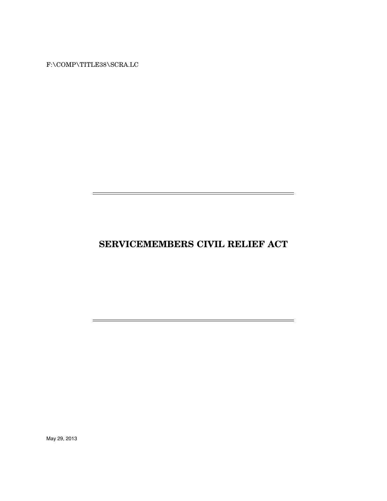F:\COMP\TITLE38\SCRA.LC

 $\equiv$ 

# **SERVICEMEMBERS CIVIL RELIEF ACT**

÷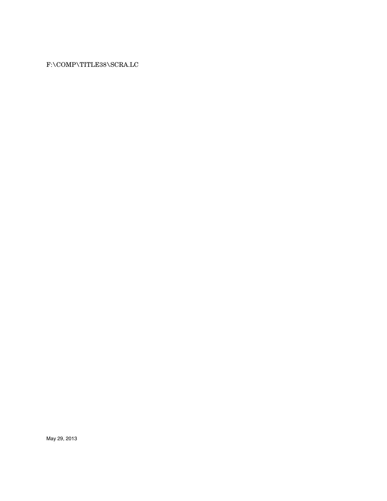F:\COMP\TITLE38\SCRA.LC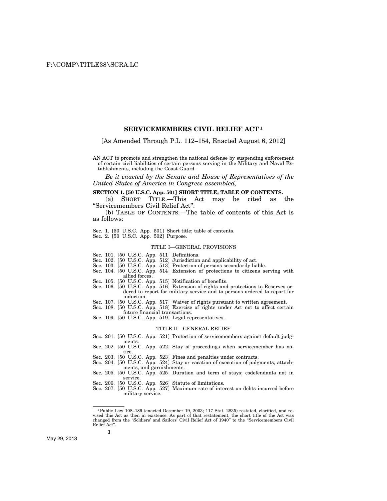#### **SERVICEMEMBERS CIVIL RELIEF ACT** 1

[As Amended Through P.L. 112–154, Enacted August 6, 2012]

AN ACT to promote and strengthen the national defense by suspending enforcement of certain civil liabilities of certain persons serving in the Military and Naval Establishments, including the Coast Guard.

*Be it enacted by the Senate and House of Representatives of the United States of America in Congress assembled,* 

#### **SECTION 1. [50 U.S.C. App. 501] SHORT TITLE; TABLE OF CONTENTS.**

(a) SHORT TITLE.—This Act may be cited as the ''Servicemembers Civil Relief Act''.

(b) TABLE OF CONTENTS.—The table of contents of this Act is as follows:

Sec. 1. [50 U.S.C. App. 501] Short title; table of contents. Sec. 2. [50 U.S.C. App. 502] Purpose.

#### TITLE I—GENERAL PROVISIONS

Sec. 101. [50 U.S.C. App. 511] Definitions.

Sec. 102. [50 U.S.C. App. 512] Jurisdiction and applicability of act.

Sec. 103. [50 U.S.C. App. 513] Protection of persons secondarily liable.

- Sec. 104. [50 U.S.C. App. 514] Extension of protections to citizens serving with allied forces.
- Sec. 105. [50 U.S.C. App. 515] Notification of benefits.
- Sec. 106. [50 U.S.C. App. 516] Extension of rights and protections to Reserves ordered to report for military service and to persons ordered to report for induction.
- Sec. 107. [50 U.S.C. App. 517] Waiver of rights pursuant to written agreement.
- Sec. 108. [50 U.S.C. App. 518] Exercise of rights under Act not to affect certain future financial transactions.
- Sec. 109. [50 U.S.C. App. 519] Legal representatives.

#### TITLE II—GENERAL RELIEF

- Sec. 201. [50 U.S.C. App. 521] Protection of servicemembers against default judgments.
- Sec. 202. [50 U.S.C. App. 522] Stay of proceedings when servicemember has notice.
- Sec. 203. [50 U.S.C. App. 523] Fines and penalties under contracts.
- Sec. 204. [50 U.S.C. App. 524] Stay or vacation of execution of judgments, attachments, and garnishments.
- Sec. 205. [50 U.S.C. App. 525] Duration and term of stays; codefendants not in service.
- Sec. 206. [50 U.S.C. App. 526] Statute of limitations.

Sec. 207. [50 U.S.C. App. 527] Maximum rate of interest on debts incurred before military service.

<sup>1</sup>Public Law 108–189 (enacted December 19, 2003; 117 Stat. 2835) restated, clarified, and revised this Act as then in existence. As part of that restatement, the short title of the Act was changed from the "Soldiers' and Sailors<sup>'</sup> Civil Relief Act of 1940" to the "Servicemembers Civil Relief Act''.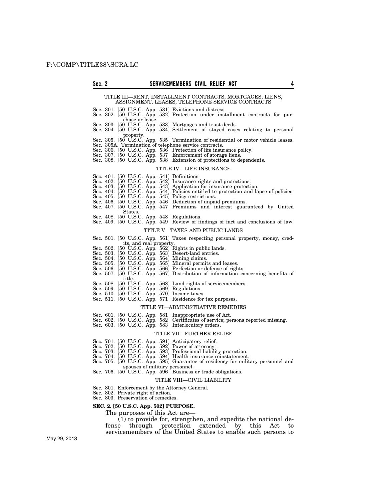| Sec. 2                         |  | SERVICEMEMBERS CIVIL RELIEF ACT<br>4                                                                                                                                                                                                                                                                                                                                                                                                                                                 |
|--------------------------------|--|--------------------------------------------------------------------------------------------------------------------------------------------------------------------------------------------------------------------------------------------------------------------------------------------------------------------------------------------------------------------------------------------------------------------------------------------------------------------------------------|
|                                |  | TITLE III—RENT, INSTALLMENT CONTRACTS, MORTGAGES, LIENS,<br>ASSIGNMENT, LEASES, TELEPHONE SERVICE CONTRACTS                                                                                                                                                                                                                                                                                                                                                                          |
|                                |  | Sec. 301. [50 U.S.C. App. 531] Evictions and distress.<br>Sec. 302. [50 U.S.C. App. 532] Protection under installment contracts for pur-                                                                                                                                                                                                                                                                                                                                             |
|                                |  | chase or lease.<br>Sec. 303. [50 U.S.C. App. 533] Mortgages and trust deeds.<br>Sec. 304. [50 U.S.C. App. 534] Settlement of stayed cases relating to personal                                                                                                                                                                                                                                                                                                                       |
|                                |  | property.<br>Sec. 305. [50 U.S.C. App. 535] Termination of residential or motor vehicle leases.<br>Sec. 305A. Termination of telephone service contracts.<br>Sec. 306. [50 U.S.C. App. 536] Protection of life insurance policy.<br>Sec. 307. [50 U.S.C. App. 537] Enforcement of storage liens.<br>Sec. 308. [50 U.S.C. App. 538] Extension of protections to dependents.                                                                                                           |
| TITLE IV—LIFE INSURANCE        |  |                                                                                                                                                                                                                                                                                                                                                                                                                                                                                      |
|                                |  | Sec. 401. [50 U.S.C. App. 541] Definitions.<br>Sec. 402. [50 U.S.C. App. 542] Insurance rights and protections.<br>Sec. 403. [50 U.S.C. App. 543] Application for insurance protection.<br>Sec. 404. [50 U.S.C. App. 544] Policies entitled to protection and lapse of policies.<br>Sec. 405. [50 U.S.C. App. 545] Policy restrictions.<br>Sec. 406. [50 U.S.C. App. 546] Deduction of unpaid premiums.<br>Sec. 407. [50 U.S.C. App. 547] Premiums and interest guaranteed by United |
|                                |  | States.<br>Sec. 408. [50 U.S.C. App. 548] Regulations.<br>Sec. 409. [50 U.S.C. App. 549] Review of findings of fact and conclusions of law.                                                                                                                                                                                                                                                                                                                                          |
| TITLE V—TAXES AND PUBLIC LANDS |  |                                                                                                                                                                                                                                                                                                                                                                                                                                                                                      |
|                                |  | Sec. 501. [50 U.S.C. App. 561] Taxes respecting personal property, money, cred-                                                                                                                                                                                                                                                                                                                                                                                                      |
|                                |  | its, and real property.<br>Sec. 502. [50 U.S.C. App. 562] Rights in public lands.<br>Sec. 503. [50 U.S.C. App. 563] Desert-land entries.<br>Sec. 504. [50 U.S.C. App. 564] Mining claims.<br>Sec. 505. [50 U.S.C. App. 565] Mineral permits and leases.<br>Sec. 506. [50 U.S.C. App. 566] Perfection or defense of rights.<br>Sec. 507. [50 U.S.C. App. 567] Distribution of information concerning benefits of                                                                      |
|                                |  | title.<br>Sec. 508. [50 U.S.C. App. 568] Land rights of servicemembers.<br>Sec. 509. [50 U.S.C. App. 569] Regulations.<br>Sec. 510. [50 U.S.C. App. 570] Income taxes.<br>Sec. 511. [50 U.S.C. App. 571] Residence for tax purposes.                                                                                                                                                                                                                                                 |
|                                |  | TITLE VI—ADMINISTRATIVE REMEDIES                                                                                                                                                                                                                                                                                                                                                                                                                                                     |
|                                |  | Sec. 601. [50 U.S.C. App. 581] Inappropriate use of Act.<br>Sec. 602. [50 U.S.C. App. 582] Certificates of service; persons reported missing.<br>Sec. 603. [50 U.S.C. App. 583] Interlocutory orders.                                                                                                                                                                                                                                                                                |
| TITLE VII—FURTHER RELIEF       |  |                                                                                                                                                                                                                                                                                                                                                                                                                                                                                      |
|                                |  | Sec. 701. [50 U.S.C. App. 591] Anticipatory relief.<br>Sec. 702. [50 U.S.C. App. 592] Power of attorney.<br>Sec. 703. [50 U.S.C. App. 593] Professional liability protection.<br>Sec. 704. [50 U.S.C. App. 594] Health insurance reinstatement.<br>Sec. 705. [50 U.S.C. App. 595] Guarantee of residency for military personnel and<br>spouses of military personnel.<br>Sec. 706. [50 U.S.C. App. 596] Business or trade obligations.                                               |
|                                |  | TITLE VIII—CIVIL LIABILITY                                                                                                                                                                                                                                                                                                                                                                                                                                                           |
|                                |  | Sec. 801. Enforcement by the Attorney General.<br>Sec. 802. Private right of action.<br>Sec. 803. Preservation of remedies.                                                                                                                                                                                                                                                                                                                                                          |
|                                |  | SEC. 2. [50 U.S.C. App. 502] PURPOSE.                                                                                                                                                                                                                                                                                                                                                                                                                                                |
|                                |  | The purposes of this Act are—<br>(1) to provide for, strengthen, and expedite the national de-                                                                                                                                                                                                                                                                                                                                                                                       |

fense through protection extended by this Act to servicemembers of the United States to enable such persons to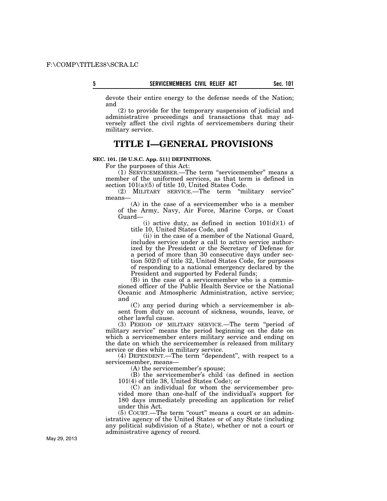devote their entire energy to the defense needs of the Nation; and

(2) to provide for the temporary suspension of judicial and administrative proceedings and transactions that may adversely affect the civil rights of servicemembers during their military service.

# **TITLE I—GENERAL PROVISIONS**

### **SEC. 101. [50 U.S.C. App. 511] DEFINITIONS.**

For the purposes of this Act:

(1) SERVICEMEMBER.—The term ''servicemember'' means a member of the uniformed services, as that term is defined in section 101(a)(5) of title 10, United States Code.

(2) MILITARY SERVICE.—The term ''military service'' means—

(A) in the case of a servicemember who is a member of the Army, Navy, Air Force, Marine Corps, or Coast Guard—

(i) active duty, as defined in section  $101(d)(1)$  of title 10, United States Code, and

(ii) in the case of a member of the National Guard, includes service under a call to active service authorized by the President or the Secretary of Defense for a period of more than 30 consecutive days under section 502(f) of title 32, United States Code, for purposes of responding to a national emergency declared by the President and supported by Federal funds;

(B) in the case of a servicemember who is a commissioned officer of the Public Health Service or the National Oceanic and Atmospheric Administration, active service; and

(C) any period during which a servicemember is absent from duty on account of sickness, wounds, leave, or other lawful cause.

(3) PERIOD OF MILITARY SERVICE.—The term ''period of military service'' means the period beginning on the date on which a servicemember enters military service and ending on the date on which the servicemember is released from military service or dies while in military service.

(4) DEPENDENT.—The term ''dependent'', with respect to a servicemember, means—

(A) the servicemember's spouse;

(B) the servicemember's child (as defined in section 101(4) of title 38, United States Code); or

(C) an individual for whom the servicemember provided more than one-half of the individual's support for 180 days immediately preceding an application for relief under this Act.

(5) COURT.—The term "court" means a court or an administrative agency of the United States or of any State (including any political subdivision of a State), whether or not a court or administrative agency of record.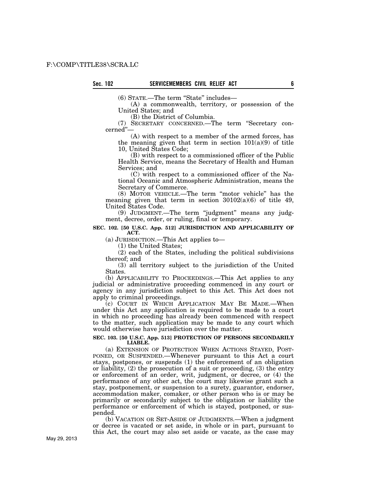(6) STATE.—The term ''State'' includes—

(A) a commonwealth, territory, or possession of the United States; and

(B) the District of Columbia.

(7) SECRETARY CONCERNED.—The term ''Secretary concerned''—

(A) with respect to a member of the armed forces, has the meaning given that term in section  $101(a)(9)$  of title 10, United States Code;

(B) with respect to a commissioned officer of the Public Health Service, means the Secretary of Health and Human Services; and

(C) with respect to a commissioned officer of the National Oceanic and Atmospheric Administration, means the Secretary of Commerce.

(8) MOTOR VEHICLE.—The term ''motor vehicle'' has the meaning given that term in section  $30102(a)(6)$  of title 49, United States Code.

(9) JUDGMENT.—The term "judgment" means any judgment, decree, order, or ruling, final or temporary.

**SEC. 102. [50 U.S.C. App. 512] JURISDICTION AND APPLICABILITY OF ACT.** 

(a) JURISDICTION.—This Act applies to—

(1) the United States;

(2) each of the States, including the political subdivisions thereof; and

(3) all territory subject to the jurisdiction of the United States.

(b) APPLICABILITY TO PROCEEDINGS.—This Act applies to any judicial or administrative proceeding commenced in any court or agency in any jurisdiction subject to this Act. This Act does not apply to criminal proceedings.

(c) COURT IN WHICH APPLICATION MAY BE MADE.—When under this Act any application is required to be made to a court in which no proceeding has already been commenced with respect to the matter, such application may be made to any court which would otherwise have jurisdiction over the matter.

#### **SEC. 103. [50 U.S.C. App. 513] PROTECTION OF PERSONS SECONDARILY LIABLE.**

(a) EXTENSION OF PROTECTION WHEN ACTIONS STAYED, POST-PONED, OR SUSPENDED.—Whenever pursuant to this Act a court stays, postpones, or suspends (1) the enforcement of an obligation or liability, (2) the prosecution of a suit or proceeding, (3) the entry or enforcement of an order, writ, judgment, or decree, or (4) the performance of any other act, the court may likewise grant such a stay, postponement, or suspension to a surety, guarantor, endorser, accommodation maker, comaker, or other person who is or may be primarily or secondarily subject to the obligation or liability the performance or enforcement of which is stayed, postponed, or suspended.

(b) VACATION OR SET-ASIDE OF JUDGMENTS.—When a judgment or decree is vacated or set aside, in whole or in part, pursuant to this Act, the court may also set aside or vacate, as the case may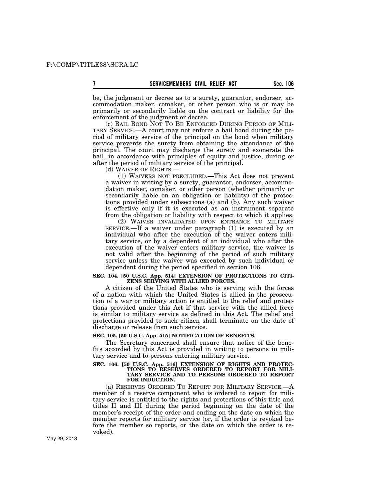be, the judgment or decree as to a surety, guarantor, endorser, accommodation maker, comaker, or other person who is or may be primarily or secondarily liable on the contract or liability for the enforcement of the judgment or decree.

(c) BAIL BOND NOT TO BE ENFORCED DURING PERIOD OF MILI-TARY SERVICE.—A court may not enforce a bail bond during the period of military service of the principal on the bond when military service prevents the surety from obtaining the attendance of the principal. The court may discharge the surety and exonerate the bail, in accordance with principles of equity and justice, during or after the period of military service of the principal.

(d) WAIVER OF RIGHTS.—

(1) WAIVERS NOT PRECLUDED.—This Act does not prevent a waiver in writing by a surety, guarantor, endorser, accommodation maker, comaker, or other person (whether primarily or secondarily liable on an obligation or liability) of the protections provided under subsections (a) and (b). Any such waiver is effective only if it is executed as an instrument separate from the obligation or liability with respect to which it applies.

(2) WAIVER INVALIDATED UPON ENTRANCE TO MILITARY SERVICE.—If a waiver under paragraph (1) is executed by an individual who after the execution of the waiver enters military service, or by a dependent of an individual who after the execution of the waiver enters military service, the waiver is not valid after the beginning of the period of such military service unless the waiver was executed by such individual or dependent during the period specified in section 106.

#### **SEC. 104. [50 U.S.C. App. 514] EXTENSION OF PROTECTIONS TO CITI-ZENS SERVING WITH ALLIED FORCES.**

A citizen of the United States who is serving with the forces of a nation with which the United States is allied in the prosecution of a war or military action is entitled to the relief and protections provided under this Act if that service with the allied force is similar to military service as defined in this Act. The relief and protections provided to such citizen shall terminate on the date of discharge or release from such service.

#### **SEC. 105. [50 U.S.C. App. 515] NOTIFICATION OF BENEFITS.**

The Secretary concerned shall ensure that notice of the benefits accorded by this Act is provided in writing to persons in military service and to persons entering military service.

#### **SEC. 106. [50 U.S.C. App. 516] EXTENSION OF RIGHTS AND PROTEC-TIONS TO RESERVES ORDERED TO REPORT FOR MILI-TARY SERVICE AND TO PERSONS ORDERED TO REPORT FOR INDUCTION.**

(a) RESERVES ORDERED TO REPORT FOR MILITARY SERVICE.—A member of a reserve component who is ordered to report for military service is entitled to the rights and protections of this title and titles II and III during the period beginning on the date of the member's receipt of the order and ending on the date on which the member reports for military service (or, if the order is revoked before the member so reports, or the date on which the order is revoked).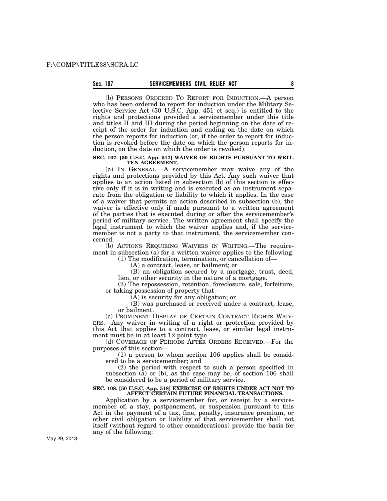(b) PERSONS ORDERED TO REPORT FOR INDUCTION.—A person who has been ordered to report for induction under the Military Selective Service Act (50 U.S.C. App. 451 et seq.) is entitled to the rights and protections provided a servicemember under this title and titles II and III during the period beginning on the date of receipt of the order for induction and ending on the date on which the person reports for induction (or, if the order to report for induction is revoked before the date on which the person reports for induction, on the date on which the order is revoked).

#### **SEC. 107. [50 U.S.C. App. 517] WAIVER OF RIGHTS PURSUANT TO WRIT-TEN AGREEMENT.**

(a) IN GENERAL.—A servicemember may waive any of the rights and protections provided by this Act. Any such waiver that applies to an action listed in subsection (b) of this section is effective only if it is in writing and is executed as an instrument separate from the obligation or liability to which it applies. In the case of a waiver that permits an action described in subsection (b), the waiver is effective only if made pursuant to a written agreement of the parties that is executed during or after the servicemember's period of military service. The written agreement shall specify the legal instrument to which the waiver applies and, if the servicemember is not a party to that instrument, the servicemember concerned.

(b) ACTIONS REQUIRING WAIVERS IN WRITING.—The requirement in subsection (a) for a written waiver applies to the following:

(1) The modification, termination, or cancellation of—

(A) a contract, lease, or bailment; or

(B) an obligation secured by a mortgage, trust, deed, lien, or other security in the nature of a mortgage.

(2) The repossession, retention, foreclosure, sale, forfeiture, or taking possession of property that—

(A) is security for any obligation; or

(B) was purchased or received under a contract, lease, or bailment.

(c) PROMINENT DISPLAY OF CERTAIN CONTRACT RIGHTS WAIV-ERS.—Any waiver in writing of a right or protection provided by this Act that applies to a contract, lease, or similar legal instrument must be in at least 12 point type.

(d) COVERAGE OF PERIODS AFTER ORDERS RECEIVED.—For the purposes of this section—

(1) a person to whom section 106 applies shall be considered to be a servicemember; and

(2) the period with respect to such a person specified in subsection  $(a)$  or  $(b)$ , as the case may be, of section 106 shall be considered to be a period of military service.

#### **SEC. 108. [50 U.S.C. App. 518] EXERCISE OF RIGHTS UNDER ACT NOT TO AFFECT CERTAIN FUTURE FINANCIAL TRANSACTIONS.**

Application by a servicemember for, or receipt by a servicemember of, a stay, postponement, or suspension pursuant to this Act in the payment of a tax, fine, penalty, insurance premium, or other civil obligation or liability of that servicemember shall not itself (without regard to other considerations) provide the basis for any of the following: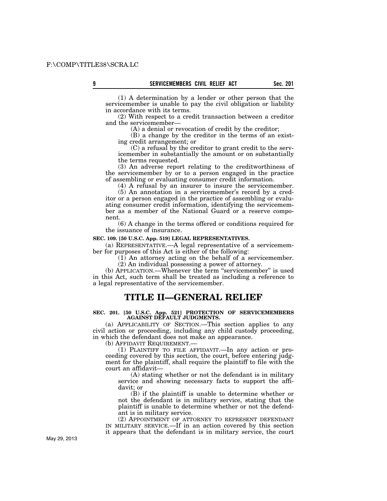(1) A determination by a lender or other person that the servicemember is unable to pay the civil obligation or liability in accordance with its terms.

(2) With respect to a credit transaction between a creditor and the servicemember—

(A) a denial or revocation of credit by the creditor;

(B) a change by the creditor in the terms of an existing credit arrangement; or

(C) a refusal by the creditor to grant credit to the servicemember in substantially the amount or on substantially the terms requested.

(3) An adverse report relating to the creditworthiness of the servicemember by or to a person engaged in the practice of assembling or evaluating consumer credit information.

(4) A refusal by an insurer to insure the servicemember.

(5) An annotation in a servicemember's record by a creditor or a person engaged in the practice of assembling or evaluating consumer credit information, identifying the servicemember as a member of the National Guard or a reserve component.

(6) A change in the terms offered or conditions required for the issuance of insurance.

#### **SEC. 109. [50 U.S.C. App. 519] LEGAL REPRESENTATIVES.**

(a) REPRESENTATIVE.—A legal representative of a servicemember for purposes of this Act is either of the following:

(1) An attorney acting on the behalf of a servicemember. (2) An individual possessing a power of attorney.

(b) APPLICATION.—Whenever the term ''servicemember'' is used in this Act, such term shall be treated as including a reference to a legal representative of the servicemember.

# **TITLE II—GENERAL RELIEF**

#### **SEC. 201. [50 U.S.C. App. 521] PROTECTION OF SERVICEMEMBERS AGAINST DEFAULT JUDGMENTS.**

(a) APPLICABILITY OF SECTION.—This section applies to any civil action or proceeding, including any child custody proceeding, in which the defendant does not make an appearance.

(b) AFFIDAVIT REQUIREMENT.—

(1) PLAINTIFF TO FILE AFFIDAVIT.—In any action or proceeding covered by this section, the court, before entering judgment for the plaintiff, shall require the plaintiff to file with the court an affidavit—

(A) stating whether or not the defendant is in military service and showing necessary facts to support the affidavit; or

(B) if the plaintiff is unable to determine whether or not the defendant is in military service, stating that the plaintiff is unable to determine whether or not the defendant is in military service.

(2) APPOINTMENT OF ATTORNEY TO REPRESENT DEFENDANT IN MILITARY SERVICE.—If in an action covered by this section it appears that the defendant is in military service, the court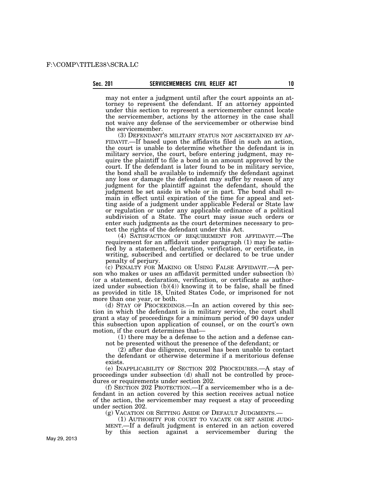may not enter a judgment until after the court appoints an attorney to represent the defendant. If an attorney appointed under this section to represent a servicemember cannot locate the servicemember, actions by the attorney in the case shall not waive any defense of the servicemember or otherwise bind the servicemember.<br>(3) DEFENDANT'S MILITARY STATUS NOT ASCERTAINED BY AF-

FIDAVIT.—If based upon the affidavits filed in such an action, the court is unable to determine whether the defendant is in military service, the court, before entering judgment, may require the plaintiff to file a bond in an amount approved by the court. If the defendant is later found to be in military service, the bond shall be available to indemnify the defendant against any loss or damage the defendant may suffer by reason of any judgment for the plaintiff against the defendant, should the judgment be set aside in whole or in part. The bond shall remain in effect until expiration of the time for appeal and setting aside of a judgment under applicable Federal or State law or regulation or under any applicable ordinance of a political subdivision of a State. The court may issue such orders or enter such judgments as the court determines necessary to protect the rights of the defendant under this Act.

(4) SATISFACTION OF REQUIREMENT FOR AFFIDAVIT.—The requirement for an affidavit under paragraph (1) may be satisfied by a statement, declaration, verification, or certificate, in writing, subscribed and certified or declared to be true under penalty of perjury.

(c) PENALTY FOR MAKING OR USING FALSE AFFIDAVIT.—A person who makes or uses an affidavit permitted under subsection (b) (or a statement, declaration, verification, or certificate as authorized under subsection (b)(4)) knowing it to be false, shall be fined as provided in title 18, United States Code, or imprisoned for not more than one year, or both.

(d) STAY OF PROCEEDINGS.—In an action covered by this section in which the defendant is in military service, the court shall grant a stay of proceedings for a minimum period of 90 days under this subsection upon application of counsel, or on the court's own motion, if the court determines that—

(1) there may be a defense to the action and a defense cannot be presented without the presence of the defendant; or

(2) after due diligence, counsel has been unable to contact the defendant or otherwise determine if a meritorious defense exists.

(e) INAPPLICABILITY OF SECTION 202 PROCEDURES.—A stay of proceedings under subsection (d) shall not be controlled by procedures or requirements under section 202.

(f) SECTION 202 PROTECTION.—If a servicemember who is a defendant in an action covered by this section receives actual notice of the action, the servicemember may request a stay of proceeding under section 202.

(g) VACATION OR SETTING ASIDE OF DEFAULT JUDGMENTS.—

(1) AUTHORITY FOR COURT TO VACATE OR SET ASIDE JUDG-MENT.—If a default judgment is entered in an action covered by this section against a servicemember during the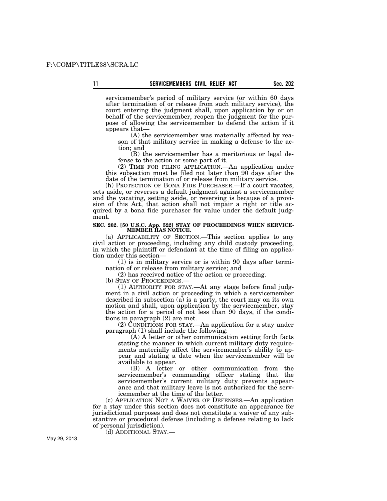servicemember's period of military service (or within 60 days after termination of or release from such military service), the court entering the judgment shall, upon application by or on behalf of the servicemember, reopen the judgment for the purpose of allowing the servicemember to defend the action if it appears that—

(A) the servicemember was materially affected by reason of that military service in making a defense to the action; and

(B) the servicemember has a meritorious or legal defense to the action or some part of it.

(2) TIME FOR FILING APPLICATION.—An application under this subsection must be filed not later than 90 days after the date of the termination of or release from military service.

(h) PROTECTION OF BONA FIDE PURCHASER.—If a court vacates, sets aside, or reverses a default judgment against a servicemember and the vacating, setting aside, or reversing is because of a provision of this Act, that action shall not impair a right or title acquired by a bona fide purchaser for value under the default judgment.

# **SEC. 202. [50 U.S.C. App. 522] STAY OF PROCEEDINGS WHEN SERVICE-MEMBER HAS NOTICE.**

(a) APPLICABILITY OF SECTION.—This section applies to any civil action or proceeding, including any child custody proceeding, in which the plaintiff or defendant at the time of filing an application under this section—

(1) is in military service or is within 90 days after termination of or release from military service; and

(2) has received notice of the action or proceeding.<br>(b) STAY OF PROCEEDINGS.—

 $(1)$  AUTHORITY FOR STAY.—At any stage before final judgment in a civil action or proceeding in which a servicemember described in subsection (a) is a party, the court may on its own motion and shall, upon application by the servicemember, stay the action for a period of not less than 90 days, if the conditions in paragraph (2) are met.

(2) CONDITIONS FOR STAY.—An application for a stay under paragraph (1) shall include the following:

(A) A letter or other communication setting forth facts stating the manner in which current military duty requirements materially affect the servicemember's ability to appear and stating a date when the servicemember will be available to appear.

(B) A letter or other communication from the servicemember's commanding officer stating that the servicemember's current military duty prevents appearance and that military leave is not authorized for the servicemember at the time of the letter.

(c) APPLICATION NOT A WAIVER OF DEFENSES.—An application for a stay under this section does not constitute an appearance for jurisdictional purposes and does not constitute a waiver of any substantive or procedural defense (including a defense relating to lack of personal jurisdiction).

(d) ADDITIONAL STAY.—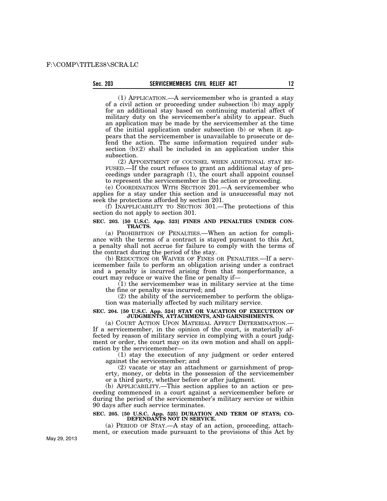(1) APPLICATION.—A servicemember who is granted a stay of a civil action or proceeding under subsection (b) may apply for an additional stay based on continuing material affect of military duty on the servicemember's ability to appear. Such an application may be made by the servicemember at the time of the initial application under subsection (b) or when it appears that the servicemember is unavailable to prosecute or defend the action. The same information required under subsection  $(b)(2)$  shall be included in an application under this subsection.

(2) APPOINTMENT OF COUNSEL WHEN ADDITIONAL STAY RE-FUSED.—If the court refuses to grant an additional stay of proceedings under paragraph (1), the court shall appoint counsel to represent the servicemember in the action or proceeding.

(e) COORDINATION WITH SECTION 201.—A servicemember who applies for a stay under this section and is unsuccessful may not seek the protections afforded by section 201.

(f) INAPPLICABILITY TO SECTION 301.—The protections of this section do not apply to section 301.

#### **SEC. 203. [50 U.S.C. App. 523] FINES AND PENALTIES UNDER CON-TRACTS.**

(a) PROHIBITION OF PENALTIES.—When an action for compliance with the terms of a contract is stayed pursuant to this Act, a penalty shall not accrue for failure to comply with the terms of the contract during the period of the stay.

(b) REDUCTION OR WAIVER OF FINES OR PENALTIES.—If a servicemember fails to perform an obligation arising under a contract and a penalty is incurred arising from that nonperformance, a court may reduce or waive the fine or penalty if—

(1) the servicemember was in military service at the time the fine or penalty was incurred; and

(2) the ability of the servicemember to perform the obligation was materially affected by such military service.

#### **SEC. 204. [50 U.S.C. App. 524] STAY OR VACATION OF EXECUTION OF JUDGMENTS, ATTACHMENTS, AND GARNISHMENTS.**

(a) COURT ACTION UPON MATERIAL AFFECT DETERMINATION.— If a servicemember, in the opinion of the court, is materially affected by reason of military service in complying with a court judgment or order, the court may on its own motion and shall on application by the servicemember—

(1) stay the execution of any judgment or order entered against the servicemember; and

(2) vacate or stay an attachment or garnishment of property, money, or debts in the possession of the servicemember or a third party, whether before or after judgment.

(b) APPLICABILITY.—This section applies to an action or proceeding commenced in a court against a servicemember before or during the period of the servicemember's military service or within 90 days after such service terminates.

#### **SEC. 205. [50 U.S.C. App. 525] DURATION AND TERM OF STAYS; CO-DEFENDANTS NOT IN SERVICE.**

(a) PERIOD OF STAY.—A stay of an action, proceeding, attachment, or execution made pursuant to the provisions of this Act by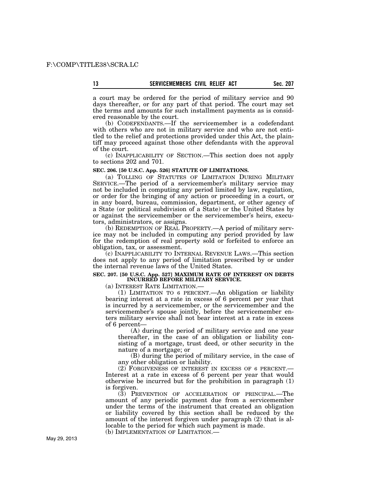a court may be ordered for the period of military service and 90 days thereafter, or for any part of that period. The court may set the terms and amounts for such installment payments as is considered reasonable by the court.

(b) CODEFENDANTS.—If the servicemember is a codefendant with others who are not in military service and who are not entitled to the relief and protections provided under this Act, the plaintiff may proceed against those other defendants with the approval of the court.

(c) INAPPLICABILITY OF SECTION.—This section does not apply to sections 202 and 701.

#### **SEC. 206. [50 U.S.C. App. 526] STATUTE OF LIMITATIONS.**

(a) TOLLING OF STATUTES OF LIMITATION DURING MILITARY SERVICE.—The period of a servicemember's military service may not be included in computing any period limited by law, regulation, or order for the bringing of any action or proceeding in a court, or in any board, bureau, commission, department, or other agency of a State (or political subdivision of a State) or the United States by or against the servicemember or the servicemember's heirs, executors, administrators, or assigns.

(b) REDEMPTION OF REAL PROPERTY.—A period of military service may not be included in computing any period provided by law for the redemption of real property sold or forfeited to enforce an obligation, tax, or assessment.

(c) INAPPLICABILITY TO INTERNAL REVENUE LAWS.—This section does not apply to any period of limitation prescribed by or under the internal revenue laws of the United States.

#### **SEC. 207. [50 U.S.C. App. 527] MAXIMUM RATE OF INTEREST ON DEBTS INCURRED BEFORE MILITARY SERVICE.**

(a) INTEREST RATE LIMITATION.—

(1) LIMITATION TO 6 PERCENT.—An obligation or liability bearing interest at a rate in excess of 6 percent per year that is incurred by a servicemember, or the servicemember and the servicemember's spouse jointly, before the servicemember enters military service shall not bear interest at a rate in excess of 6 percent—

(A) during the period of military service and one year thereafter, in the case of an obligation or liability consisting of a mortgage, trust deed, or other security in the nature of a mortgage; or

(B) during the period of military service, in the case of any other obligation or liability.<br>(2) FORGIVENESS OF INTEREST IN EXCESS OF 6 PERCENT.—

Interest at a rate in excess of 6 percent per year that would otherwise be incurred but for the prohibition in paragraph (1) is forgiven.

(3) PREVENTION OF ACCELERATION OF PRINCIPAL.—The amount of any periodic payment due from a servicemember under the terms of the instrument that created an obligation or liability covered by this section shall be reduced by the amount of the interest forgiven under paragraph (2) that is allocable to the period for which such payment is made.

(b) IMPLEMENTATION OF LIMITATION.—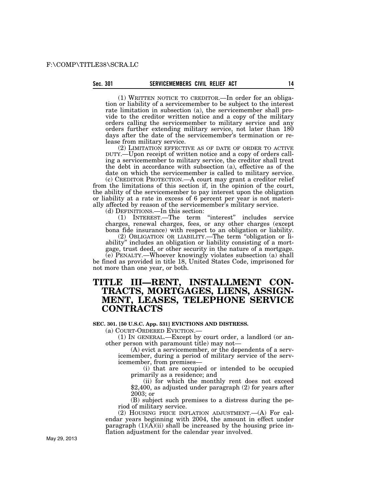(1) WRITTEN NOTICE TO CREDITOR.—In order for an obligation or liability of a servicemember to be subject to the interest rate limitation in subsection (a), the servicemember shall provide to the creditor written notice and a copy of the military orders calling the servicemember to military service and any orders further extending military service, not later than 180 days after the date of the servicemember's termination or release from military service.

(2) LIMITATION EFFECTIVE AS OF DATE OF ORDER TO ACTIVE DUTY.—Upon receipt of written notice and a copy of orders calling a servicemember to military service, the creditor shall treat the debt in accordance with subsection (a), effective as of the date on which the servicemember is called to military service.

(c) CREDITOR PROTECTION.—A court may grant a creditor relief from the limitations of this section if, in the opinion of the court, the ability of the servicemember to pay interest upon the obligation or liability at a rate in excess of 6 percent per year is not materially affected by reason of the servicemember's military service.

(d) DEFINITIONS.—In this section:

(1) INTEREST.—The term ''interest'' includes service charges, renewal charges, fees, or any other charges (except bona fide insurance) with respect to an obligation or liability.

(2) OBLIGATION OR LIABILITY.—The term ''obligation or liability'' includes an obligation or liability consisting of a mortgage, trust deed, or other security in the nature of a mortgage.

(e) PENALTY.—Whoever knowingly violates subsection (a) shall be fined as provided in title 18, United States Code, imprisoned for not more than one year, or both.

# **TITLE III—RENT, INSTALLMENT CON-TRACTS, MORTGAGES, LIENS, ASSIGN-MENT, LEASES, TELEPHONE SERVICE CONTRACTS**

### **SEC. 301. [50 U.S.C. App. 531] EVICTIONS AND DISTRESS.**

(a) COURT-ORDERED EVICTION.—

(1) IN GENERAL.—Except by court order, a landlord (or another person with paramount title) may not—

(A) evict a servicemember, or the dependents of a servicemember, during a period of military service of the servicemember, from premises—

(i) that are occupied or intended to be occupied primarily as a residence; and

(ii) for which the monthly rent does not exceed \$2,400, as adjusted under paragraph (2) for years after 2003; or

(B) subject such premises to a distress during the period of military service.

(2) HOUSING PRICE INFLATION ADJUSTMENT.—(A) For calendar years beginning with 2004, the amount in effect under paragraph  $(1)(A)(ii)$  shall be increased by the housing price inflation adjustment for the calendar year involved.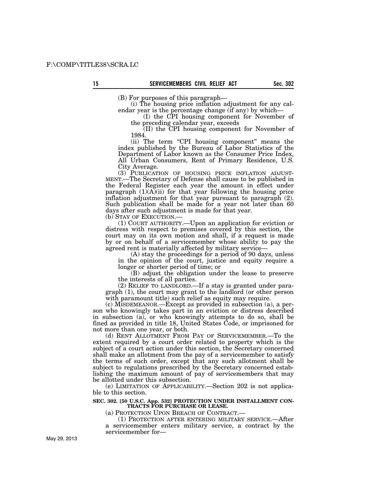(B) For purposes of this paragraph—

(i) The housing price inflation adjustment for any calendar year is the percentage change (if any) by which—

(I) the CPI housing component for November of the preceding calendar year, exceeds

(II) the CPI housing component for November of 1984.

(ii) The term "CPI housing component" means the index published by the Bureau of Labor Statistics of the Department of Labor known as the Consumer Price Index, All Urban Consumers, Rent of Primary Residence, U.S. City Average.<br>(3) PUBLICATION OF HOUSING PRICE INFLATION ADJUST-

MENT.—The Secretary of Defense shall cause to be published in the Federal Register each year the amount in effect under paragraph  $(1)(A)(ii)$  for that year following the housing price inflation adjustment for that year pursuant to paragraph (2). Such publication shall be made for a year not later than 60 days after such adjustment is made for that year.

(b) STAY OF EXECUTION.— (1) COURT AUTHORITY.—Upon an application for eviction or distress with respect to premises covered by this section, the court may on its own motion and shall, if a request is made by or on behalf of a servicemember whose ability to pay the agreed rent is materially affected by military service—

(A) stay the proceedings for a period of 90 days, unless in the opinion of the court, justice and equity require a longer or shorter period of time; or

(B) adjust the obligation under the lease to preserve the interests of all parties.

(2) RELIEF TO LANDLORD.—If a stay is granted under paragraph (1), the court may grant to the landlord (or other person with paramount title) such relief as equity may require.

(c) MISDEMEANOR.—Except as provided in subsection (a), a person who knowingly takes part in an eviction or distress described in subsection (a), or who knowingly attempts to do so, shall be fined as provided in title 18, United States Code, or imprisoned for not more than one year, or both.

(d) RENT ALLOTMENT FROM PAY OF SERVICEMEMBER.—To the extent required by a court order related to property which is the subject of a court action under this section, the Secretary concerned shall make an allotment from the pay of a servicemember to satisfy the terms of such order, except that any such allotment shall be subject to regulations prescribed by the Secretary concerned establishing the maximum amount of pay of servicemembers that may be allotted under this subsection.

(e) LIMITATION OF APPLICABILITY.—Section 202 is not applicable to this section.

**SEC. 302. [50 U.S.C. App. 532] PROTECTION UNDER INSTALLMENT CON-TRACTS FOR PURCHASE OR LEASE.** 

(a) PROTECTION UPON BREACH OF CONTRACT.—

(1) PROTECTION AFTER ENTERING MILITARY SERVICE.—After a servicemember enters military service, a contract by the servicemember for—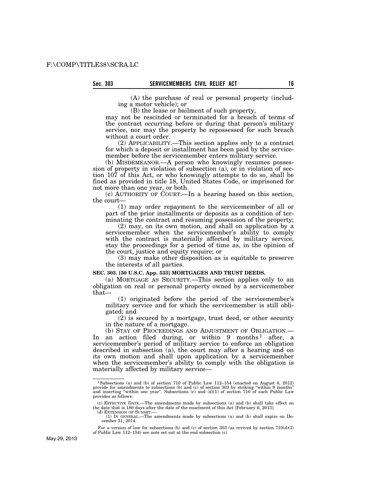(A) the purchase of real or personal property (including a motor vehicle); or

(B) the lease or bailment of such property,

may not be rescinded or terminated for a breach of terms of the contract occurring before or during that person's military service, nor may the property be repossessed for such breach without a court order.

(2) APPLICABILITY.—This section applies only to a contract for which a deposit or installment has been paid by the servicemember before the servicemember enters military service.

(b) MISDEMEANOR.—A person who knowingly resumes possession of property in violation of subsection (a), or in violation of section 107 of this Act, or who knowingly attempts to do so, shall be fined as provided in title 18, United States Code, or imprisoned for not more than one year, or both.

(c) AUTHORITY OF COURT.—In a hearing based on this section, the court—

(1) may order repayment to the servicemember of all or part of the prior installments or deposits as a condition of terminating the contract and resuming possession of the property;

(2) may, on its own motion, and shall on application by a servicemember when the servicemember's ability to comply with the contract is materially affected by military service, stay the proceedings for a period of time as, in the opinion of the court, justice and equity require; or

(3) may make other disposition as is equitable to preserve the interests of all parties.

#### **SEC. 303. [50 U.S.C. App. 533] MORTGAGES AND TRUST DEEDS.**

(a) MORTGAGE AS SECURITY.—This section applies only to an obligation on real or personal property owned by a servicemember that—

(1) originated before the period of the servicemember's military service and for which the servicemember is still obligated; and

(2) is secured by a mortgage, trust deed, or other security in the nature of a mortgage.

(b) STAY OF PROCEEDINGS AND ADJUSTMENT OF OBLIGATION.— In an action filed during, or within  $9$  months<sup>1</sup> after, a servicemember's period of military service to enforce an obligation described in subsection (a), the court may after a hearing and on its own motion and shall upon application by a servicemember when the servicemember's ability to comply with the obligation is materially affected by military service—

<sup>&</sup>lt;sup>1</sup>Subsections (a) and (b) of section 710 of Public Law 112-154 (enacted on August 6, 2012) provide for amendments to subsections (b) and (c) of section 303 by striking "within 9 months" and inserting "within one year". S provides as follows:

<sup>(</sup>c) EFFECTIVE DATE.—The amendments made by subsections (a) and (b) shall take effect on the date that is 180 days after the date of the enactment of this Act [February 6, 2013]. (d) EXTENSION OF SUNSET.

<sup>(1)</sup> IN GENERAL.—The amendments made by subsections (a) and (b) shall expire on December 31, 2014.

For a version of law for subsections (b) and (c) of section 303 (as revived by section  $710(d)(3)$ of Public Law 112–154) see note set out at the end subsection (c).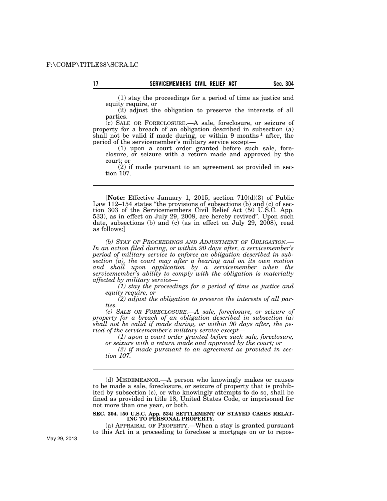(1) stay the proceedings for a period of time as justice and equity require, or

(2) adjust the obligation to preserve the interests of all parties.

(c) SALE OR FORECLOSURE.—A sale, foreclosure, or seizure of property for a breach of an obligation described in subsection (a) shall not be valid if made during, or within 9 months<sup>1</sup> after, the period of the servicemember's military service except—

(1) upon a court order granted before such sale, foreclosure, or seizure with a return made and approved by the court; or

(2) if made pursuant to an agreement as provided in section 107.

[**Note:** Effective January 1, 2015, section 710(d)(3) of Public Law 112–154 states "the provisions of subsections (b) and (c) of section 303 of the Servicemembers Civil Relief Act (50 U.S.C. App. 533), as in effect on July 29, 2008, are hereby revived''. Upon such date, subsections (b) and (c) (as in effect on July 29, 2008), read as follows:]

*(b) STAY OF PROCEEDINGS AND ADJUSTMENT OF OBLIGATION.— In an action filed during, or within 90 days after, a servicemember's period of military service to enforce an obligation described in subsection (a), the court may after a hearing and on its own motion and shall upon application by a servicemember when the servicemember's ability to comply with the obligation is materially affected by military service—* 

*(1) stay the proceedings for a period of time as justice and equity require, or* 

*(2) adjust the obligation to preserve the interests of all parties.* 

*(c) SALE OR FORECLOSURE.—A sale, foreclosure, or seizure of property for a breach of an obligation described in subsection (a) shall not be valid if made during, or within 90 days after, the period of the servicemember's military service except—* 

*(1) upon a court order granted before such sale, foreclosure, or seizure with a return made and approved by the court; or* 

*(2) if made pursuant to an agreement as provided in section 107.* 

#### **SEC. 304. [50 U.S.C. App. 534] SETTLEMENT OF STAYED CASES RELAT-ING TO PERSONAL PROPERTY.**

(a) APPRAISAL OF PROPERTY.—When a stay is granted pursuant to this Act in a proceeding to foreclose a mortgage on or to repos-

<sup>(</sup>d) MISDEMEANOR.—A person who knowingly makes or causes to be made a sale, foreclosure, or seizure of property that is prohibited by subsection (c), or who knowingly attempts to do so, shall be fined as provided in title 18, United States Code, or imprisoned for not more than one year, or both.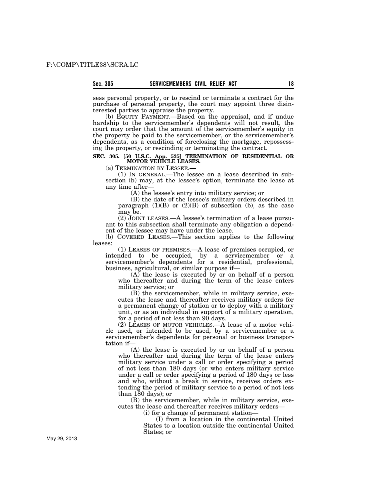sess personal property, or to rescind or terminate a contract for the purchase of personal property, the court may appoint three disinterested parties to appraise the property.

(b) EQUITY PAYMENT.—Based on the appraisal, and if undue hardship to the servicemember's dependents will not result, the court may order that the amount of the servicemember's equity in the property be paid to the servicemember, or the servicemember's dependents, as a condition of foreclosing the mortgage, repossessing the property, or rescinding or terminating the contract.

**SEC. 305. [50 U.S.C. App. 535] TERMINATION OF RESIDENTIAL OR MOTOR VEHICLE LEASES.** 

(a) TERMINATION BY LESSEE.— (1) IN GENERAL.—The lessee on a lease described in subsection (b) may, at the lessee's option, terminate the lease at any time after—

(A) the lessee's entry into military service; or

(B) the date of the lessee's military orders described in paragraph  $(1)(B)$  or  $(2)(B)$  of subsection (b), as the case may be.

(2) JOINT LEASES.—A lessee's termination of a lease pursuant to this subsection shall terminate any obligation a dependent of the lessee may have under the lease.

(b) COVERED LEASES.—This section applies to the following leases:

(1) LEASES OF PREMISES.—A lease of premises occupied, or intended to be occupied, by a servicemember or a servicemember's dependents for a residential, professional, business, agricultural, or similar purpose if—

(A) the lease is executed by or on behalf of a person who thereafter and during the term of the lease enters military service; or

(B) the servicemember, while in military service, executes the lease and thereafter receives military orders for a permanent change of station or to deploy with a military unit, or as an individual in support of a military operation, for a period of not less than 90 days.

(2) LEASES OF MOTOR VEHICLES.—A lease of a motor vehicle used, or intended to be used, by a servicemember or a servicemember's dependents for personal or business transportation if—

(A) the lease is executed by or on behalf of a person who thereafter and during the term of the lease enters military service under a call or order specifying a period of not less than 180 days (or who enters military service under a call or order specifying a period of 180 days or less and who, without a break in service, receives orders extending the period of military service to a period of not less than 180 days); or

(B) the servicemember, while in military service, executes the lease and thereafter receives military orders—

(i) for a change of permanent station—

(I) from a location in the continental United States to a location outside the continental United States; or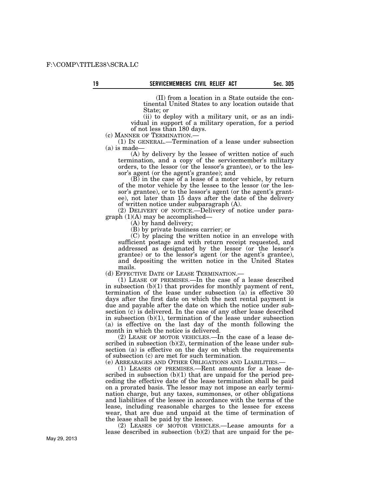(II) from a location in a State outside the continental United States to any location outside that State; or

(ii) to deploy with a military unit, or as an individual in support of a military operation, for a period of not less than 180 days.<br>(c) MANNER OF TERMINATION.—

 $(1)$  In GENERAL.—Termination of a lease under subsection (a) is made—

(A) by delivery by the lessee of written notice of such termination, and a copy of the servicemember's military orders, to the lessor (or the lessor's grantee), or to the lessor's agent (or the agent's grantee); and

(B) in the case of a lease of a motor vehicle, by return of the motor vehicle by the lessee to the lessor (or the lessor's grantee), or to the lessor's agent (or the agent's grantee), not later than 15 days after the date of the delivery of written notice under subparagraph (A).

(2) DELIVERY OF NOTICE.—Delivery of notice under paragraph  $(1)(A)$  may be accomplished—

(A) by hand delivery;

(B) by private business carrier; or

(C) by placing the written notice in an envelope with sufficient postage and with return receipt requested, and addressed as designated by the lessor (or the lessor's grantee) or to the lessor's agent (or the agent's grantee), and depositing the written notice in the United States mails.

(d) EFFECTIVE DATE OF LEASE TERMINATION.—

(1) LEASE OF PREMISES.—In the case of a lease described in subsection (b)(1) that provides for monthly payment of rent, termination of the lease under subsection (a) is effective 30 days after the first date on which the next rental payment is due and payable after the date on which the notice under subsection (c) is delivered. In the case of any other lease described in subsection (b)(1), termination of the lease under subsection (a) is effective on the last day of the month following the month in which the notice is delivered.

(2) LEASE OF MOTOR VEHICLES.—In the case of a lease described in subsection (b)(2), termination of the lease under subsection (a) is effective on the day on which the requirements of subsection (c) are met for such termination.

(e) ARREARAGES AND OTHER OBLIGATIONS AND LIABILITIES.—

(1) LEASES OF PREMISES.—Rent amounts for a lease described in subsection  $(b)(1)$  that are unpaid for the period preceding the effective date of the lease termination shall be paid on a prorated basis. The lessor may not impose an early termination charge, but any taxes, summonses, or other obligations and liabilities of the lessee in accordance with the terms of the lease, including reasonable charges to the lessee for excess wear, that are due and unpaid at the time of termination of the lease shall be paid by the lessee.

(2) LEASES OF MOTOR VEHICLES.—Lease amounts for a lease described in subsection  $(b)(2)$  that are unpaid for the pe-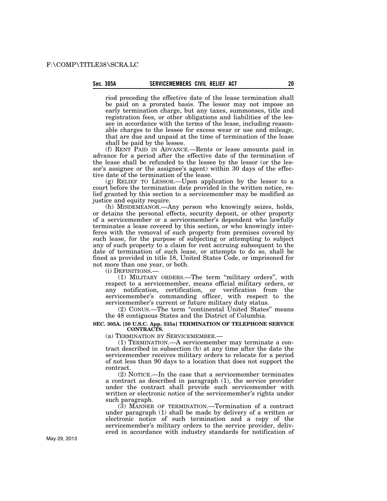riod preceding the effective date of the lease termination shall be paid on a prorated basis. The lessor may not impose an early termination charge, but any taxes, summonses, title and registration fees, or other obligations and liabilities of the lessee in accordance with the terms of the lease, including reasonable charges to the lessee for excess wear or use and mileage, that are due and unpaid at the time of termination of the lease shall be paid by the lessee.

(f) RENT PAID IN ADVANCE.—Rents or lease amounts paid in advance for a period after the effective date of the termination of the lease shall be refunded to the lessee by the lessor (or the lessor's assignee or the assignee's agent) within 30 days of the effective date of the termination of the lease.

(g) RELIEF TO LESSOR.—Upon application by the lessor to a court before the termination date provided in the written notice, relief granted by this section to a servicemember may be modified as justice and equity require.

(h) MISDEMEANOR.—Any person who knowingly seizes, holds, or detains the personal effects, security deposit, or other property of a servicemember or a servicemember's dependent who lawfully terminates a lease covered by this section, or who knowingly interferes with the removal of such property from premises covered by such lease, for the purpose of subjecting or attempting to subject any of such property to a claim for rent accruing subsequent to the date of termination of such lease, or attempts to do so, shall be fined as provided in title 18, United States Code, or imprisoned for not more than one year, or both.

(i) DEFINITIONS.—

(1) MILITARY ORDERS.—The term ''military orders'', with respect to a servicemember, means official military orders, or any notification, certification, or verification from the servicemember's commanding officer, with respect to the servicemember's current or future military duty status.

(2) CONUS.—The term ''continental United States'' means the 48 contiguous States and the District of Columbia.

#### **SEC. 305A. [50 U.S.C. App. 535a] TERMINATION OF TELEPHONE SERVICE CONTRACTS.**

(a) TERMINATION BY SERVICEMEMBER.—

(1) TERMINATION.—A servicemember may terminate a contract described in subsection (b) at any time after the date the servicemember receives military orders to relocate for a period of not less than 90 days to a location that does not support the contract.

(2) NOTICE.—In the case that a servicemember terminates a contract as described in paragraph (1), the service provider under the contract shall provide such servicemember with written or electronic notice of the servicemember's rights under such paragraph.

(3) MANNER OF TERMINATION.—Termination of a contract under paragraph (1) shall be made by delivery of a written or electronic notice of such termination and a copy of the servicemember's military orders to the service provider, delivered in accordance with industry standards for notification of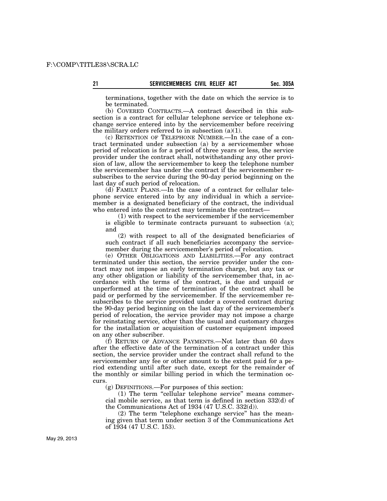terminations, together with the date on which the service is to be terminated.

(b) COVERED CONTRACTS.—A contract described in this subsection is a contract for cellular telephone service or telephone exchange service entered into by the servicemember before receiving the military orders referred to in subsection  $(a)(1)$ .

(c) RETENTION OF TELEPHONE NUMBER.—In the case of a contract terminated under subsection (a) by a servicemember whose period of relocation is for a period of three years or less, the service provider under the contract shall, notwithstanding any other provision of law, allow the servicemember to keep the telephone number the servicemember has under the contract if the servicemember resubscribes to the service during the 90-day period beginning on the last day of such period of relocation.

(d) FAMILY PLANS.—In the case of a contract for cellular telephone service entered into by any individual in which a servicemember is a designated beneficiary of the contract, the individual who entered into the contract may terminate the contract—

(1) with respect to the servicemember if the servicemember is eligible to terminate contracts pursuant to subsection (a); and

(2) with respect to all of the designated beneficiaries of such contract if all such beneficiaries accompany the servicemember during the servicemember's period of relocation.

(e) OTHER OBLIGATIONS AND LIABILITIES.—For any contract terminated under this section, the service provider under the contract may not impose an early termination charge, but any tax or any other obligation or liability of the servicemember that, in accordance with the terms of the contract, is due and unpaid or unperformed at the time of termination of the contract shall be paid or performed by the servicemember. If the servicemember resubscribes to the service provided under a covered contract during the 90-day period beginning on the last day of the servicemember's period of relocation, the service provider may not impose a charge for reinstating service, other than the usual and customary charges for the installation or acquisition of customer equipment imposed on any other subscriber.

(f) RETURN OF ADVANCE PAYMENTS.—Not later than 60 days after the effective date of the termination of a contract under this section, the service provider under the contract shall refund to the servicemember any fee or other amount to the extent paid for a period extending until after such date, except for the remainder of the monthly or similar billing period in which the termination occurs.

(g) DEFINITIONS.—For purposes of this section:

(1) The term ''cellular telephone service'' means commercial mobile service, as that term is defined in section 332(d) of the Communications Act of 1934 (47 U.S.C. 332(d)).

(2) The term ''telephone exchange service'' has the meaning given that term under section 3 of the Communications Act of 1934 (47 U.S.C. 153).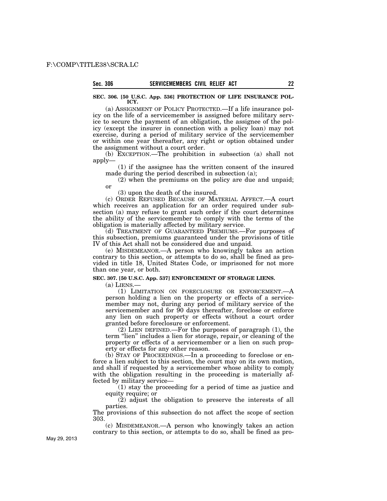**SEC. 306. [50 U.S.C. App. 536] PROTECTION OF LIFE INSURANCE POL-ICY.** 

(a) ASSIGNMENT OF POLICY PROTECTED.—If a life insurance policy on the life of a servicemember is assigned before military service to secure the payment of an obligation, the assignee of the policy (except the insurer in connection with a policy loan) may not exercise, during a period of military service of the servicemember or within one year thereafter, any right or option obtained under the assignment without a court order.

(b) EXCEPTION.—The prohibition in subsection (a) shall not apply—

(1) if the assignee has the written consent of the insured made during the period described in subsection (a);

(2) when the premiums on the policy are due and unpaid; or

(3) upon the death of the insured.

(c) ORDER REFUSED BECAUSE OF MATERIAL AFFECT.—A court which receives an application for an order required under subsection (a) may refuse to grant such order if the court determines the ability of the servicemember to comply with the terms of the obligation is materially affected by military service.

(d) TREATMENT OF GUARANTEED PREMIUMS.—For purposes of this subsection, premiums guaranteed under the provisions of title IV of this Act shall not be considered due and unpaid.

(e) MISDEMEANOR.—A person who knowingly takes an action contrary to this section, or attempts to do so, shall be fined as provided in title 18, United States Code, or imprisoned for not more than one year, or both.

#### **SEC. 307. [50 U.S.C. App. 537] ENFORCEMENT OF STORAGE LIENS.**

(a) LIENS.—

(1) LIMITATION ON FORECLOSURE OR ENFORCEMENT.—A person holding a lien on the property or effects of a servicemember may not, during any period of military service of the servicemember and for 90 days thereafter, foreclose or enforce any lien on such property or effects without a court order granted before foreclosure or enforcement.

(2) LIEN DEFINED.—For the purposes of paragraph (1), the term "lien" includes a lien for storage, repair, or cleaning of the property or effects of a servicemember or a lien on such property or effects for any other reason.

(b) STAY OF PROCEEDINGS.—In a proceeding to foreclose or enforce a lien subject to this section, the court may on its own motion, and shall if requested by a servicemember whose ability to comply with the obligation resulting in the proceeding is materially affected by military service—

(1) stay the proceeding for a period of time as justice and equity require; or

(2) adjust the obligation to preserve the interests of all parties.

The provisions of this subsection do not affect the scope of section 303.

(c) MISDEMEANOR.—A person who knowingly takes an action contrary to this section, or attempts to do so, shall be fined as pro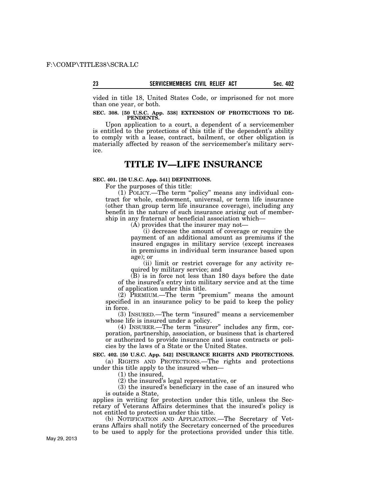vided in title 18, United States Code, or imprisoned for not more than one year, or both.

#### **SEC. 308. [50 U.S.C. App. 538] EXTENSION OF PROTECTIONS TO DE-PENDENTS.**

Upon application to a court, a dependent of a servicemember is entitled to the protections of this title if the dependent's ability to comply with a lease, contract, bailment, or other obligation is materially affected by reason of the servicemember's military service.

# **TITLE IV—LIFE INSURANCE**

#### **SEC. 401. [50 U.S.C. App. 541] DEFINITIONS.**

For the purposes of this title:

(1) POLICY.—The term ''policy'' means any individual contract for whole, endowment, universal, or term life insurance (other than group term life insurance coverage), including any benefit in the nature of such insurance arising out of membership in any fraternal or beneficial association which—

(A) provides that the insurer may not—

(i) decrease the amount of coverage or require the payment of an additional amount as premiums if the insured engages in military service (except increases in premiums in individual term insurance based upon age); or

(ii) limit or restrict coverage for any activity required by military service; and

(B) is in force not less than 180 days before the date of the insured's entry into military service and at the time of application under this title.

(2) PREMIUM.—The term "premium" means the amount specified in an insurance policy to be paid to keep the policy in force.

(3) INSURED.—The term ''insured'' means a servicemember whose life is insured under a policy.

(4) INSURER.—The term ''insurer'' includes any firm, corporation, partnership, association, or business that is chartered or authorized to provide insurance and issue contracts or policies by the laws of a State or the United States.

### **SEC. 402. [50 U.S.C. App. 542] INSURANCE RIGHTS AND PROTECTIONS.**

(a) RIGHTS AND PROTECTIONS.—The rights and protections under this title apply to the insured when—

(1) the insured,

(2) the insured's legal representative, or

(3) the insured's beneficiary in the case of an insured who is outside a State,

applies in writing for protection under this title, unless the Secretary of Veterans Affairs determines that the insured's policy is not entitled to protection under this title.

(b) NOTIFICATION AND APPLICATION.—The Secretary of Veterans Affairs shall notify the Secretary concerned of the procedures to be used to apply for the protections provided under this title.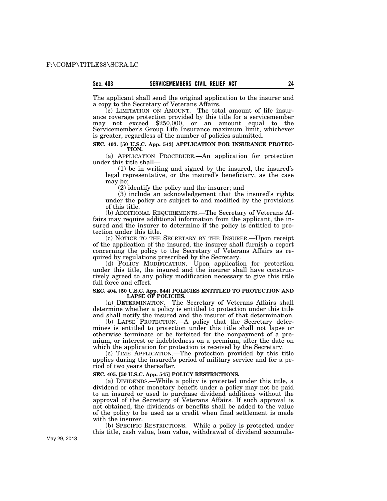The applicant shall send the original application to the insurer and a copy to the Secretary of Veterans Affairs.

(c) LIMITATION ON AMOUNT.—The total amount of life insurance coverage protection provided by this title for a servicemember may not exceed \$250,000, or an amount equal to the Servicemember's Group Life Insurance maximum limit, whichever is greater, regardless of the number of policies submitted.

#### **SEC. 403. [50 U.S.C. App. 543] APPLICATION FOR INSURANCE PROTEC-TION.**

(a) APPLICATION PROCEDURE.—An application for protection under this title shall—

(1) be in writing and signed by the insured, the insured's legal representative, or the insured's beneficiary, as the case may be;

(2) identify the policy and the insurer; and

(3) include an acknowledgement that the insured's rights under the policy are subject to and modified by the provisions of this title.

(b) ADDITIONAL REQUIREMENTS.—The Secretary of Veterans Affairs may require additional information from the applicant, the insured and the insurer to determine if the policy is entitled to protection under this title.

(c) NOTICE TO THE SECRETARY BY THE INSURER.—Upon receipt of the application of the insured, the insurer shall furnish a report concerning the policy to the Secretary of Veterans Affairs as required by regulations prescribed by the Secretary.

(d) POLICY MODIFICATION.—Upon application for protection under this title, the insured and the insurer shall have constructively agreed to any policy modification necessary to give this title full force and effect.

#### **SEC. 404. [50 U.S.C. App. 544] POLICIES ENTITLED TO PROTECTION AND LAPSE OF POLICIES.**

(a) DETERMINATION.—The Secretary of Veterans Affairs shall determine whether a policy is entitled to protection under this title and shall notify the insured and the insurer of that determination.

(b) LAPSE PROTECTION.—A policy that the Secretary determines is entitled to protection under this title shall not lapse or otherwise terminate or be forfeited for the nonpayment of a premium, or interest or indebtedness on a premium, after the date on which the application for protection is received by the Secretary.

(c) TIME APPLICATION.—The protection provided by this title applies during the insured's period of military service and for a period of two years thereafter.

#### **SEC. 405. [50 U.S.C. App. 545] POLICY RESTRICTIONS.**

(a) DIVIDENDS.—While a policy is protected under this title, a dividend or other monetary benefit under a policy may not be paid to an insured or used to purchase dividend additions without the approval of the Secretary of Veterans Affairs. If such approval is not obtained, the dividends or benefits shall be added to the value of the policy to be used as a credit when final settlement is made with the insurer.

(b) SPECIFIC RESTRICTIONS.—While a policy is protected under this title, cash value, loan value, withdrawal of dividend accumula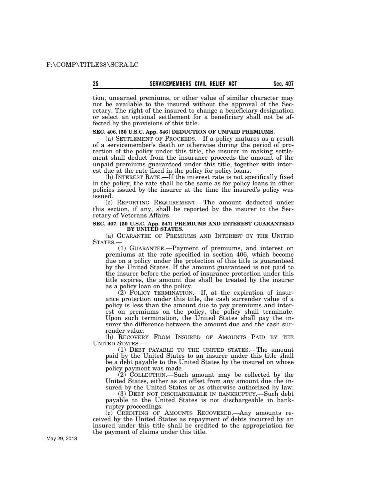tion, unearned premiums, or other value of similar character may not be available to the insured without the approval of the Secretary. The right of the insured to change a beneficiary designation or select an optional settlement for a beneficiary shall not be affected by the provisions of this title.

#### **SEC. 406. [50 U.S.C. App. 546] DEDUCTION OF UNPAID PREMIUMS.**

(a) SETTLEMENT OF PROCEEDS.—If a policy matures as a result of a servicemember's death or otherwise during the period of protection of the policy under this title, the insurer in making settlement shall deduct from the insurance proceeds the amount of the unpaid premiums guaranteed under this title, together with interest due at the rate fixed in the policy for policy loans.

(b) INTEREST RATE.—If the interest rate is not specifically fixed in the policy, the rate shall be the same as for policy loans in other policies issued by the insurer at the time the insured's policy was issued.

(c) REPORTING REQUIREMENT.—The amount deducted under this section, if any, shall be reported by the insurer to the Secretary of Veterans Affairs.

#### **SEC. 407. [50 U.S.C. App. 547] PREMIUMS AND INTEREST GUARANTEED BY UNITED STATES.**

(a) GUARANTEE OF PREMIUMS AND INTEREST BY THE UNITED STATES.—

(1) GUARANTEE.—Payment of premiums, and interest on premiums at the rate specified in section 406, which become due on a policy under the protection of this title is guaranteed by the United States. If the amount guaranteed is not paid to the insurer before the period of insurance protection under this title expires, the amount due shall be treated by the insurer as a policy loan on the policy.

(2) POLICY TERMINATION.—If, at the expiration of insurance protection under this title, the cash surrender value of a policy is less than the amount due to pay premiums and interest on premiums on the policy, the policy shall terminate. Upon such termination, the United States shall pay the insurer the difference between the amount due and the cash surrender value.

(b) RECOVERY FROM INSURED OF AMOUNTS PAID BY THE UNITED STATES.—

(1) DEBT PAYABLE TO THE UNITED STATES.—The amount paid by the United States to an insurer under this title shall be a debt payable to the United States by the insured on whose policy payment was made.

(2) COLLECTION.—Such amount may be collected by the United States, either as an offset from any amount due the insured by the United States or as otherwise authorized by law.

(3) DEBT NOT DISCHARGEABLE IN BANKRUPTCY.—Such debt payable to the United States is not dischargeable in bankruptcy proceedings.

(c) CREDITING OF AMOUNTS RECOVERED.—Any amounts received by the United States as repayment of debts incurred by an insured under this title shall be credited to the appropriation for the payment of claims under this title.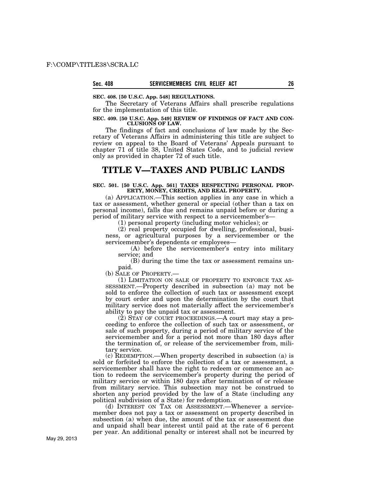**SEC. 408. [50 U.S.C. App. 548] REGULATIONS.** 

The Secretary of Veterans Affairs shall prescribe regulations for the implementation of this title.

#### **SEC. 409. [50 U.S.C. App. 549] REVIEW OF FINDINGS OF FACT AND CON-CLUSIONS OF LAW.**

The findings of fact and conclusions of law made by the Secretary of Veterans Affairs in administering this title are subject to review on appeal to the Board of Veterans' Appeals pursuant to chapter 71 of title 38, United States Code, and to judicial review only as provided in chapter 72 of such title.

# **TITLE V—TAXES AND PUBLIC LANDS**

#### **SEC. 501. [50 U.S.C. App. 561] TAXES RESPECTING PERSONAL PROP-ERTY, MONEY, CREDITS, AND REAL PROPERTY.**

(a) APPLICATION.—This section applies in any case in which a tax or assessment, whether general or special (other than a tax on personal income), falls due and remains unpaid before or during a period of military service with respect to a servicemember's—

(1) personal property (including motor vehicles); or

(2) real property occupied for dwelling, professional, business, or agricultural purposes by a servicemember or the servicemember's dependents or employees—

(A) before the servicemember's entry into military service; and

(B) during the time the tax or assessment remains unpaid.

(b) SALE OF PROPERTY.—

(1) LIMITATION ON SALE OF PROPERTY TO ENFORCE TAX AS-SESSMENT.—Property described in subsection (a) may not be sold to enforce the collection of such tax or assessment except by court order and upon the determination by the court that military service does not materially affect the servicemember's ability to pay the unpaid tax or assessment.

(2) STAY OF COURT PROCEEDINGS.—A court may stay a proceeding to enforce the collection of such tax or assessment, or sale of such property, during a period of military service of the servicemember and for a period not more than 180 days after the termination of, or release of the servicemember from, military service.

(c) REDEMPTION.—When property described in subsection (a) is sold or forfeited to enforce the collection of a tax or assessment, a servicemember shall have the right to redeem or commence an action to redeem the servicemember's property during the period of military service or within 180 days after termination of or release from military service. This subsection may not be construed to shorten any period provided by the law of a State (including any political subdivision of a State) for redemption.

(d) INTEREST ON TAX OR ASSESSMENT.—Whenever a servicemember does not pay a tax or assessment on property described in subsection (a) when due, the amount of the tax or assessment due and unpaid shall bear interest until paid at the rate of 6 percent per year. An additional penalty or interest shall not be incurred by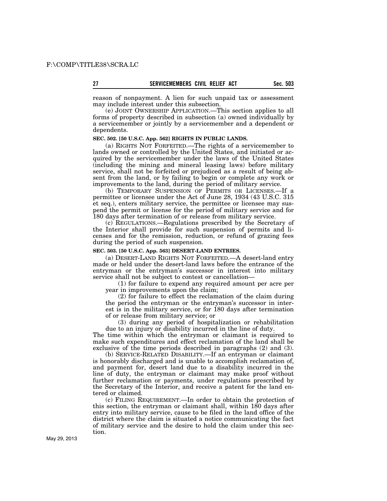reason of nonpayment. A lien for such unpaid tax or assessment may include interest under this subsection.

(e) JOINT OWNERSHIP APPLICATION.—This section applies to all forms of property described in subsection (a) owned individually by a servicemember or jointly by a servicemember and a dependent or dependents.

### **SEC. 502. [50 U.S.C. App. 562] RIGHTS IN PUBLIC LANDS.**

(a) RIGHTS NOT FORFEITED.—The rights of a servicemember to lands owned or controlled by the United States, and initiated or acquired by the servicemember under the laws of the United States (including the mining and mineral leasing laws) before military service, shall not be forfeited or prejudiced as a result of being absent from the land, or by failing to begin or complete any work or improvements to the land, during the period of military service.

(b) TEMPORARY SUSPENSION OF PERMITS OR LICENSES.—If a permittee or licensee under the Act of June 28, 1934 (43 U.S.C. 315 et seq.), enters military service, the permittee or licensee may suspend the permit or license for the period of military service and for 180 days after termination of or release from military service.

(c) REGULATIONS.—Regulations prescribed by the Secretary of the Interior shall provide for such suspension of permits and licenses and for the remission, reduction, or refund of grazing fees during the period of such suspension.

#### **SEC. 503. [50 U.S.C. App. 563] DESERT-LAND ENTRIES.**

(a) DESERT-LAND RIGHTS NOT FORFEITED.—A desert-land entry made or held under the desert-land laws before the entrance of the entryman or the entryman's successor in interest into military service shall not be subject to contest or cancellation—

(1) for failure to expend any required amount per acre per year in improvements upon the claim;

(2) for failure to effect the reclamation of the claim during the period the entryman or the entryman's successor in interest is in the military service, or for 180 days after termination of or release from military service; or

(3) during any period of hospitalization or rehabilitation due to an injury or disability incurred in the line of duty.

The time within which the entryman or claimant is required to make such expenditures and effect reclamation of the land shall be exclusive of the time periods described in paragraphs (2) and (3).

(b) SERVICE-RELATED DISABILITY.—If an entryman or claimant is honorably discharged and is unable to accomplish reclamation of, and payment for, desert land due to a disability incurred in the line of duty, the entryman or claimant may make proof without further reclamation or payments, under regulations prescribed by the Secretary of the Interior, and receive a patent for the land entered or claimed.

(c) FILING REQUIREMENT.—In order to obtain the protection of this section, the entryman or claimant shall, within 180 days after entry into military service, cause to be filed in the land office of the district where the claim is situated a notice communicating the fact of military service and the desire to hold the claim under this section.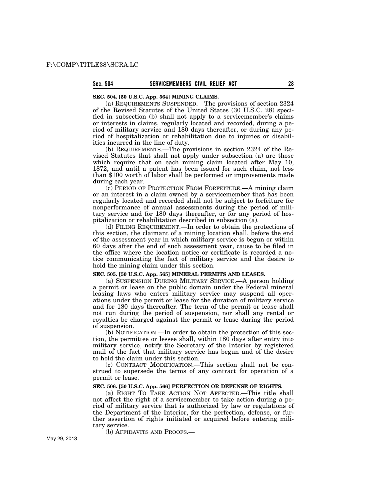**SEC. 504. [50 U.S.C. App. 564] MINING CLAIMS.** 

(a) REQUIREMENTS SUSPENDED.—The provisions of section 2324 of the Revised Statutes of the United States (30 U.S.C. 28) specified in subsection (b) shall not apply to a servicemember's claims or interests in claims, regularly located and recorded, during a period of military service and 180 days thereafter, or during any period of hospitalization or rehabilitation due to injuries or disabilities incurred in the line of duty.

(b) REQUIREMENTS.—The provisions in section 2324 of the Revised Statutes that shall not apply under subsection (a) are those which require that on each mining claim located after May 10, 1872, and until a patent has been issued for such claim, not less than \$100 worth of labor shall be performed or improvements made during each year.

(c) PERIOD OF PROTECTION FROM FORFEITURE.—A mining claim or an interest in a claim owned by a servicemember that has been regularly located and recorded shall not be subject to forfeiture for nonperformance of annual assessments during the period of military service and for 180 days thereafter, or for any period of hospitalization or rehabilitation described in subsection (a).

(d) FILING REQUIREMENT.—In order to obtain the protections of this section, the claimant of a mining location shall, before the end of the assessment year in which military service is begun or within 60 days after the end of such assessment year, cause to be filed in the office where the location notice or certificate is recorded a notice communicating the fact of military service and the desire to hold the mining claim under this section.

#### **SEC. 505. [50 U.S.C. App. 565] MINERAL PERMITS AND LEASES.**

(a) SUSPENSION DURING MILITARY SERVICE.—A person holding a permit or lease on the public domain under the Federal mineral leasing laws who enters military service may suspend all operations under the permit or lease for the duration of military service and for 180 days thereafter. The term of the permit or lease shall not run during the period of suspension, nor shall any rental or royalties be charged against the permit or lease during the period of suspension.

(b) NOTIFICATION.—In order to obtain the protection of this section, the permittee or lessee shall, within 180 days after entry into military service, notify the Secretary of the Interior by registered mail of the fact that military service has begun and of the desire to hold the claim under this section.

(c) CONTRACT MODIFICATION.—This section shall not be construed to supersede the terms of any contract for operation of a permit or lease.

### **SEC. 506. [50 U.S.C. App. 566] PERFECTION OR DEFENSE OF RIGHTS.**

(a) RIGHT TO TAKE ACTION NOT AFFECTED.—This title shall not affect the right of a servicemember to take action during a period of military service that is authorized by law or regulations of the Department of the Interior, for the perfection, defense, or further assertion of rights initiated or acquired before entering military service.

(b) AFFIDAVITS AND PROOFS.—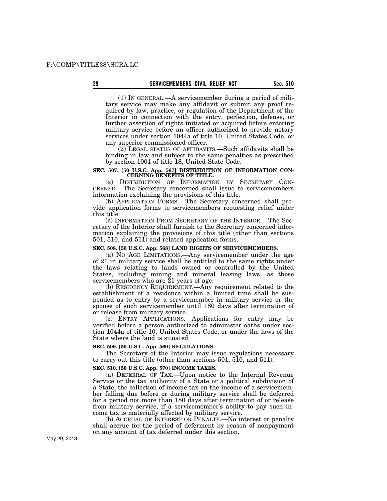(1) IN GENERAL.—A servicemember during a period of military service may make any affidavit or submit any proof required by law, practice, or regulation of the Department of the Interior in connection with the entry, perfection, defense, or further assertion of rights initiated or acquired before entering military service before an officer authorized to provide notary services under section 1044a of title 10, United States Code, or any superior commissioned officer.

 $(2)$  LEGAL STATUS OF AFFIDAVITS.—Such affidavits shall be binding in law and subject to the same penalties as prescribed by section 1001 of title 18, United State Code.

#### **SEC. 507. [50 U.S.C. App. 567] DISTRIBUTION OF INFORMATION CON-CERNING BENEFITS OF TITLE.**

(a) DISTRIBUTION OF INFORMATION BY SECRETARY CON-CERNED.—The Secretary concerned shall issue to servicemembers information explaining the provisions of this title.

(b) APPLICATION FORMS.—The Secretary concerned shall provide application forms to servicemembers requesting relief under this title.

(c) INFORMATION FROM SECRETARY OF THE INTERIOR.—The Secretary of the Interior shall furnish to the Secretary concerned information explaining the provisions of this title (other than sections 501, 510, and 511) and related application forms.

#### **SEC. 508. [50 U.S.C. App. 568] LAND RIGHTS OF SERVICEMEMBERS.**

(a) NO AGE LIMITATIONS.—Any servicemember under the age of 21 in military service shall be entitled to the same rights under the laws relating to lands owned or controlled by the United States, including mining and mineral leasing laws, as those servicemembers who are 21 years of age.

(b) RESIDENCY REQUIREMENT.—Any requirement related to the establishment of a residence within a limited time shall be suspended as to entry by a servicemember in military service or the spouse of such servicemember until 180 days after termination of or release from military service.

(c) ENTRY APPLICATIONS.—Applications for entry may be verified before a person authorized to administer oaths under section 1044a of title 10, United States Code, or under the laws of the State where the land is situated.

#### **SEC. 509. [50 U.S.C. App. 569] REGULATIONS.**

The Secretary of the Interior may issue regulations necessary to carry out this title (other than sections 501, 510, and 511).

**SEC. 510. [50 U.S.C. App. 570] INCOME TAXES.** 

(a) DEFERRAL OF TAX.—Upon notice to the Internal Revenue Service or the tax authority of a State or a political subdivision of a State, the collection of income tax on the income of a servicemember falling due before or during military service shall be deferred for a period not more than 180 days after termination of or release from military service, if a servicemember's ability to pay such income tax is materially affected by military service.

(b) ACCRUAL OF INTEREST OR PENALTY.—No interest or penalty shall accrue for the period of deferment by reason of nonpayment on any amount of tax deferred under this section.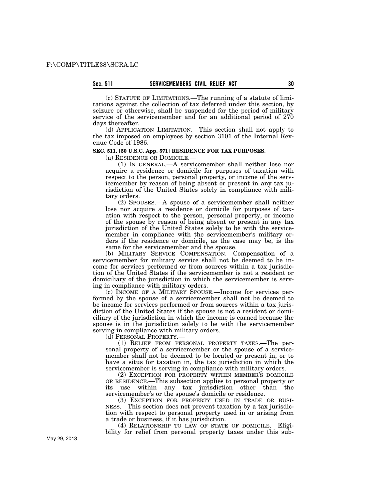(c) STATUTE OF LIMITATIONS.—The running of a statute of limitations against the collection of tax deferred under this section, by seizure or otherwise, shall be suspended for the period of military service of the servicemember and for an additional period of 270 days thereafter.

(d) APPLICATION LIMITATION.—This section shall not apply to the tax imposed on employees by section 3101 of the Internal Revenue Code of 1986.

#### **SEC. 511. [50 U.S.C. App. 571] RESIDENCE FOR TAX PURPOSES.**

(a) RESIDENCE OR DOMICILE.—

(1) IN GENERAL.—A servicemember shall neither lose nor acquire a residence or domicile for purposes of taxation with respect to the person, personal property, or income of the servicemember by reason of being absent or present in any tax jurisdiction of the United States solely in compliance with military orders.

(2) SPOUSES.—A spouse of a servicemember shall neither lose nor acquire a residence or domicile for purposes of taxation with respect to the person, personal property, or income of the spouse by reason of being absent or present in any tax jurisdiction of the United States solely to be with the servicemember in compliance with the servicemember's military orders if the residence or domicile, as the case may be, is the same for the servicemember and the spouse.

(b) MILITARY SERVICE COMPENSATION.—Compensation of a servicemember for military service shall not be deemed to be income for services performed or from sources within a tax jurisdiction of the United States if the servicemember is not a resident or domiciliary of the jurisdiction in which the servicemember is serving in compliance with military orders.

(c) INCOME OF A MILITARY SPOUSE.—Income for services performed by the spouse of a servicemember shall not be deemed to be income for services performed or from sources within a tax jurisdiction of the United States if the spouse is not a resident or domiciliary of the jurisdiction in which the income is earned because the spouse is in the jurisdiction solely to be with the servicemember serving in compliance with military orders.

(d) PERSONAL PROPERTY.—

(1) RELIEF FROM PERSONAL PROPERTY TAXES.—The personal property of a servicemember or the spouse of a servicemember shall not be deemed to be located or present in, or to have a situs for taxation in, the tax jurisdiction in which the servicemember is serving in compliance with military orders.

(2) EXCEPTION FOR PROPERTY WITHIN MEMBER'S DOMICILE OR RESIDENCE.—This subsection applies to personal property or its use within any tax jurisdiction other than the servicemember's or the spouse's domicile or residence.

NESS.—This section does not prevent taxation by a tax jurisdiction with respect to personal property used in or arising from a trade or business, if it has jurisdiction.

(4) RELATIONSHIP TO LAW OF STATE OF DOMICILE.—Eligibility for relief from personal property taxes under this sub-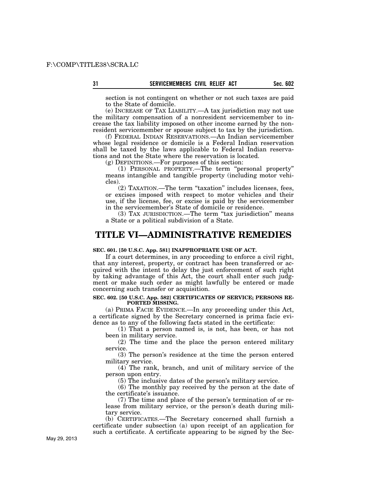section is not contingent on whether or not such taxes are paid to the State of domicile.

(e) INCREASE OF TAX LIABILITY.—A tax jurisdiction may not use the military compensation of a nonresident servicemember to increase the tax liability imposed on other income earned by the nonresident servicemember or spouse subject to tax by the jurisdiction.

(f) FEDERAL INDIAN RESERVATIONS.—An Indian servicemember whose legal residence or domicile is a Federal Indian reservation shall be taxed by the laws applicable to Federal Indian reservations and not the State where the reservation is located.

(g) DEFINITIONS.—For purposes of this section:

(1) PERSONAL PROPERTY.—The term ''personal property'' means intangible and tangible property (including motor vehicles).

(2) TAXATION.—The term ''taxation'' includes licenses, fees, or excises imposed with respect to motor vehicles and their use, if the license, fee, or excise is paid by the servicemember in the servicemember's State of domicile or residence.

(3) TAX JURISDICTION.—The term ''tax jurisdiction'' means a State or a political subdivision of a State.

## **TITLE VI—ADMINISTRATIVE REMEDIES**

#### **SEC. 601. [50 U.S.C. App. 581] INAPPROPRIATE USE OF ACT.**

If a court determines, in any proceeding to enforce a civil right, that any interest, property, or contract has been transferred or acquired with the intent to delay the just enforcement of such right by taking advantage of this Act, the court shall enter such judgment or make such order as might lawfully be entered or made concerning such transfer or acquisition.

#### **SEC. 602. [50 U.S.C. App. 582] CERTIFICATES OF SERVICE; PERSONS RE-PORTED MISSING.**

(a) PRIMA FACIE EVIDENCE.—In any proceeding under this Act, a certificate signed by the Secretary concerned is prima facie evidence as to any of the following facts stated in the certificate:

(1) That a person named is, is not, has been, or has not been in military service.

(2) The time and the place the person entered military service.

(3) The person's residence at the time the person entered military service.

(4) The rank, branch, and unit of military service of the person upon entry.

(5) The inclusive dates of the person's military service.

(6) The monthly pay received by the person at the date of the certificate's issuance.

(7) The time and place of the person's termination of or release from military service, or the person's death during military service.

(b) CERTIFICATES.—The Secretary concerned shall furnish a certificate under subsection (a) upon receipt of an application for such a certificate. A certificate appearing to be signed by the Sec-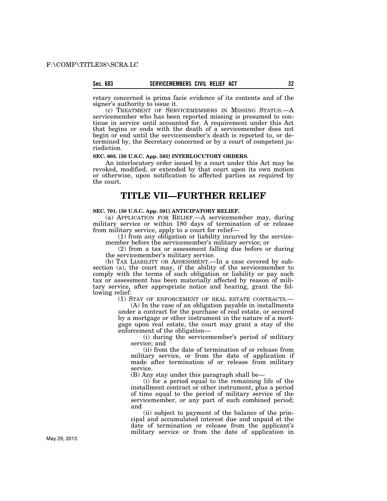retary concerned is prima facie evidence of its contents and of the signer's authority to issue it.

(c) TREATMENT OF SERVICEMEMBERS IN MISSING STATUS.—A servicemember who has been reported missing is presumed to continue in service until accounted for. A requirement under this Act that begins or ends with the death of a servicemember does not begin or end until the servicemember's death is reported to, or determined by, the Secretary concerned or by a court of competent jurisdiction.

#### **SEC. 603. [50 U.S.C. App. 583] INTERLOCUTORY ORDERS.**

An interlocutory order issued by a court under this Act may be revoked, modified, or extended by that court upon its own motion or otherwise, upon notification to affected parties as required by the court.

# **TITLE VII—FURTHER RELIEF**

#### **SEC. 701. [50 U.S.C. App. 591] ANTICIPATORY RELIEF.**

(a) APPLICATION FOR RELIEF.—A servicemember may, during military service or within 180 days of termination of or release from military service, apply to a court for relief—

(1) from any obligation or liability incurred by the servicemember before the servicemember's military service; or

(2) from a tax or assessment falling due before or during the servicemember's military service.

(b) TAX LIABILITY OR ASSESSMENT.—In a case covered by subsection (a), the court may, if the ability of the servicemember to comply with the terms of such obligation or liability or pay such tax or assessment has been materially affected by reason of military service, after appropriate notice and hearing, grant the following relief:

(1) STAY OF ENFORCEMENT OF REAL ESTATE CONTRACTS.— (A) In the case of an obligation payable in installments

under a contract for the purchase of real estate, or secured by a mortgage or other instrument in the nature of a mortgage upon real estate, the court may grant a stay of the enforcement of the obligation—

(i) during the servicemember's period of military service; and

(ii) from the date of termination of or release from military service, or from the date of application if made after termination of or release from military service.

(B) Any stay under this paragraph shall be—

(i) for a period equal to the remaining life of the installment contract or other instrument, plus a period of time equal to the period of military service of the servicemember, or any part of such combined period; and

(ii) subject to payment of the balance of the principal and accumulated interest due and unpaid at the date of termination or release from the applicant's military service or from the date of application in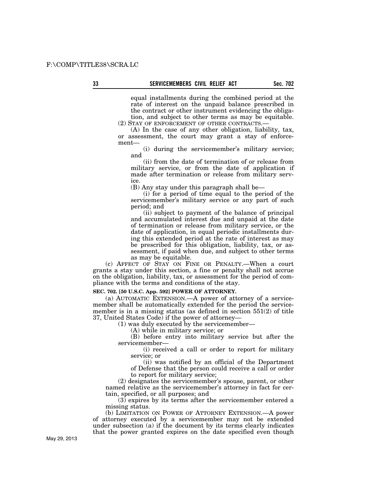equal installments during the combined period at the rate of interest on the unpaid balance prescribed in the contract or other instrument evidencing the obligation, and subject to other terms as may be equitable.

(2) STAY OF ENFORCEMENT OF OTHER CONTRACTS.—

(A) In the case of any other obligation, liability, tax, or assessment, the court may grant a stay of enforcement—

(i) during the servicemember's military service; and

(ii) from the date of termination of or release from military service, or from the date of application if made after termination or release from military service.

(B) Any stay under this paragraph shall be—

(i) for a period of time equal to the period of the servicemember's military service or any part of such period; and

(ii) subject to payment of the balance of principal and accumulated interest due and unpaid at the date of termination or release from military service, or the date of application, in equal periodic installments during this extended period at the rate of interest as may be prescribed for this obligation, liability, tax, or assessment, if paid when due, and subject to other terms as may be equitable.

(c) AFFECT OF STAY ON FINE OR PENALTY.—When a court grants a stay under this section, a fine or penalty shall not accrue on the obligation, liability, tax, or assessment for the period of compliance with the terms and conditions of the stay.

**SEC. 702. [50 U.S.C. App. 592] POWER OF ATTORNEY.** 

(a) AUTOMATIC EXTENSION.—A power of attorney of a servicemember shall be automatically extended for the period the servicemember is in a missing status (as defined in section 551(2) of title 37, United States Code) if the power of attorney—

(1) was duly executed by the servicemember—

(A) while in military service; or

(B) before entry into military service but after the servicemember—

(i) received a call or order to report for military service; or

(ii) was notified by an official of the Department of Defense that the person could receive a call or order to report for military service;

(2) designates the servicemember's spouse, parent, or other named relative as the servicemember's attorney in fact for certain, specified, or all purposes; and

 $(3)$  expires by its terms after the servicemember entered a missing status.

(b) LIMITATION ON POWER OF ATTORNEY EXTENSION.—A power of attorney executed by a servicemember may not be extended under subsection (a) if the document by its terms clearly indicates that the power granted expires on the date specified even though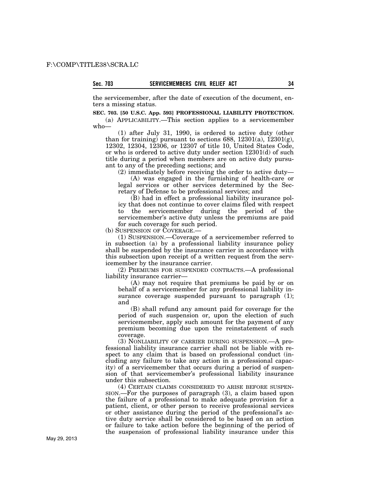the servicemember, after the date of execution of the document, enters a missing status.

#### **SEC. 703. [50 U.S.C. App. 593] PROFESSIONAL LIABILITY PROTECTION.**

(a) APPLICABILITY.—This section applies to a servicemember who—

(1) after July 31, 1990, is ordered to active duty (other than for training) pursuant to sections 688, 12301(a), 12301(g), 12302, 12304, 12306, or 12307 of title 10, United States Code, or who is ordered to active duty under section 12301(d) of such title during a period when members are on active duty pursuant to any of the preceding sections; and

(2) immediately before receiving the order to active duty—

(A) was engaged in the furnishing of health-care or legal services or other services determined by the Secretary of Defense to be professional services; and

(B) had in effect a professional liability insurance policy that does not continue to cover claims filed with respect to the servicemember during the period of the servicemember's active duty unless the premiums are paid for such coverage for such period.

(b) SUSPENSION OF COVERAGE.—

(1) SUSPENSION.—Coverage of a servicemember referred to in subsection (a) by a professional liability insurance policy shall be suspended by the insurance carrier in accordance with this subsection upon receipt of a written request from the servicemember by the insurance carrier.

(2) PREMIUMS FOR SUSPENDED CONTRACTS.—A professional liability insurance carrier—

(A) may not require that premiums be paid by or on behalf of a servicemember for any professional liability insurance coverage suspended pursuant to paragraph (1); and

(B) shall refund any amount paid for coverage for the period of such suspension or, upon the election of such servicemember, apply such amount for the payment of any premium becoming due upon the reinstatement of such coverage.

(3) NONLIABILITY OF CARRIER DURING SUSPENSION.—A professional liability insurance carrier shall not be liable with respect to any claim that is based on professional conduct (including any failure to take any action in a professional capacity) of a servicemember that occurs during a period of suspension of that servicemember's professional liability insurance under this subsection.

(4) CERTAIN CLAIMS CONSIDERED TO ARISE BEFORE SUSPEN-SION.—For the purposes of paragraph (3), a claim based upon the failure of a professional to make adequate provision for a patient, client, or other person to receive professional services or other assistance during the period of the professional's active duty service shall be considered to be based on an action or failure to take action before the beginning of the period of the suspension of professional liability insurance under this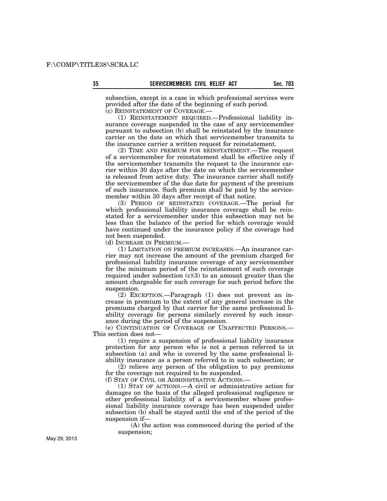subsection, except in a case in which professional services were provided after the date of the beginning of such period. (c) REINSTATEMENT OF COVERAGE.—

(1) REINSTATEMENT REQUIRED.—Professional liability insurance coverage suspended in the case of any servicemember

pursuant to subsection (b) shall be reinstated by the insurance carrier on the date on which that servicemember transmits to the insurance carrier a written request for reinstatement. (2) TIME AND PREMIUM FOR REINSTATEMENT.—The request of a servicemember for reinstatement shall be effective only if

the servicemember transmits the request to the insurance carrier within 30 days after the date on which the servicemember is released from active duty. The insurance carrier shall notify the servicemember of the due date for payment of the premium of such insurance. Such premium shall be paid by the servicemember within 30 days after receipt of that notice.

(3) PERIOD OF REINSTATED COVERAGE.—The period for which professional liability insurance coverage shall be reinstated for a servicemember under this subsection may not be less than the balance of the period for which coverage would have continued under the insurance policy if the coverage had not been suspended.

(d) INCREASE IN PREMIUM.—

(1) LIMITATION ON PREMIUM INCREASES.—An insurance carrier may not increase the amount of the premium charged for professional liability insurance coverage of any servicemember for the minimum period of the reinstatement of such coverage required under subsection  $(c)(3)$  to an amount greater than the amount chargeable for such coverage for such period before the suspension.

(2) EXCEPTION.—Paragraph (1) does not prevent an increase in premium to the extent of any general increase in the premiums charged by that carrier for the same professional liability coverage for persons similarly covered by such insurance during the period of the suspension.

(e) CONTINUATION OF COVERAGE OF UNAFFECTED PERSONS.— This section does not—

(1) require a suspension of professional liability insurance protection for any person who is not a person referred to in subsection (a) and who is covered by the same professional liability insurance as a person referred to in such subsection; or

(2) relieve any person of the obligation to pay premiums for the coverage not required to be suspended.

(f) STAY OF CIVIL OR ADMINISTRATIVE ACTIONS.—

(1) STAY OF ACTIONS.—A civil or administrative action for damages on the basis of the alleged professional negligence or other professional liability of a servicemember whose professional liability insurance coverage has been suspended under subsection (b) shall be stayed until the end of the period of the suspension if—

(A) the action was commenced during the period of the suspension;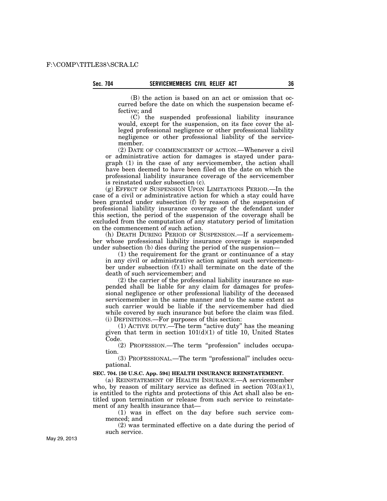(B) the action is based on an act or omission that occurred before the date on which the suspension became effective; and

(C) the suspended professional liability insurance would, except for the suspension, on its face cover the alleged professional negligence or other professional liability negligence or other professional liability of the servicemember.

(2) DATE OF COMMENCEMENT OF ACTION.—Whenever a civil or administrative action for damages is stayed under paragraph (1) in the case of any servicemember, the action shall have been deemed to have been filed on the date on which the professional liability insurance coverage of the servicemember is reinstated under subsection (c).

(g) EFFECT OF SUSPENSION UPON LIMITATIONS PERIOD.—In the case of a civil or administrative action for which a stay could have been granted under subsection (f) by reason of the suspension of professional liability insurance coverage of the defendant under this section, the period of the suspension of the coverage shall be excluded from the computation of any statutory period of limitation on the commencement of such action.

(h) DEATH DURING PERIOD OF SUSPENSION.—If a servicemember whose professional liability insurance coverage is suspended under subsection (b) dies during the period of the suspension—

(1) the requirement for the grant or continuance of a stay in any civil or administrative action against such servicemember under subsection (f)(1) shall terminate on the date of the death of such servicemember; and

(2) the carrier of the professional liability insurance so suspended shall be liable for any claim for damages for professional negligence or other professional liability of the deceased servicemember in the same manner and to the same extent as such carrier would be liable if the servicemember had died while covered by such insurance but before the claim was filed. (i) DEFINITIONS.—For purposes of this section:

(1) ACTIVE DUTY.—The term ''active duty'' has the meaning given that term in section 101(d)(1) of title 10, United States Code.

(2) PROFESSION.—The term ''profession'' includes occupation.

(3) PROFESSIONAL.—The term ''professional'' includes occupational.

**SEC. 704. [50 U.S.C. App. 594] HEALTH INSURANCE REINSTATEMENT.** 

(a) REINSTATEMENT OF HEALTH INSURANCE.—A servicemember who, by reason of military service as defined in section  $703(a)(1)$ , is entitled to the rights and protections of this Act shall also be entitled upon termination or release from such service to reinstatement of any health insurance that—

(1) was in effect on the day before such service commenced; and

(2) was terminated effective on a date during the period of such service.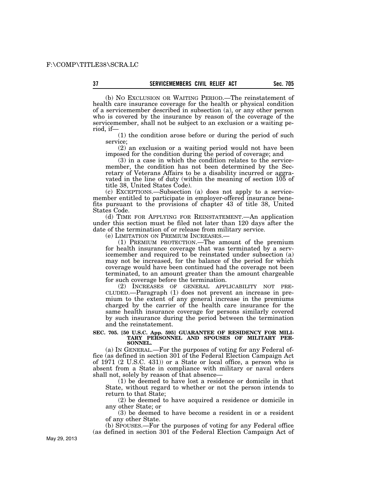(b) NO EXCLUSION OR WAITING PERIOD.—The reinstatement of health care insurance coverage for the health or physical condition of a servicemember described in subsection (a), or any other person who is covered by the insurance by reason of the coverage of the servicemember, shall not be subject to an exclusion or a waiting period, if—

(1) the condition arose before or during the period of such service;

(2) an exclusion or a waiting period would not have been imposed for the condition during the period of coverage; and

(3) in a case in which the condition relates to the servicemember, the condition has not been determined by the Secretary of Veterans Affairs to be a disability incurred or aggravated in the line of duty (within the meaning of section 105 of title 38, United States Code).

(c) EXCEPTIONS.—Subsection (a) does not apply to a servicemember entitled to participate in employer-offered insurance benefits pursuant to the provisions of chapter 43 of title 38, United States Code.

(d) TIME FOR APPLYING FOR REINSTATEMENT.—An application under this section must be filed not later than 120 days after the date of the termination of or release from military service.<br>(e) LIMITATION ON PREMIUM INCREASES.—

(1) PREMIUM PROTECTION.—The amount of the premium for health insurance coverage that was terminated by a servicemember and required to be reinstated under subsection (a) may not be increased, for the balance of the period for which coverage would have been continued had the coverage not been terminated, to an amount greater than the amount chargeable

for such coverage before the termination.<br>(2) INCREASES OF GENERAL APPLICABILITY NOT PRE-CLUDED.—Paragraph (1) does not prevent an increase in premium to the extent of any general increase in the premiums charged by the carrier of the health care insurance for the same health insurance coverage for persons similarly covered by such insurance during the period between the termination and the reinstatement.

#### **SEC. 705. [50 U.S.C. App. 595] GUARANTEE OF RESIDENCY FOR MILI-TARY PERSONNEL AND SPOUSES OF MILITARY PER-SONNEL.**

(a) IN GENERAL.—For the purposes of voting for any Federal office (as defined in section 301 of the Federal Election Campaign Act of 1971 (2 U.S.C. 431)) or a State or local office, a person who is absent from a State in compliance with military or naval orders shall not, solely by reason of that absence—

(1) be deemed to have lost a residence or domicile in that State, without regard to whether or not the person intends to return to that State;

(2) be deemed to have acquired a residence or domicile in any other State; or

(3) be deemed to have become a resident in or a resident of any other State.

(b) SPOUSES.—For the purposes of voting for any Federal office (as defined in section 301 of the Federal Election Campaign Act of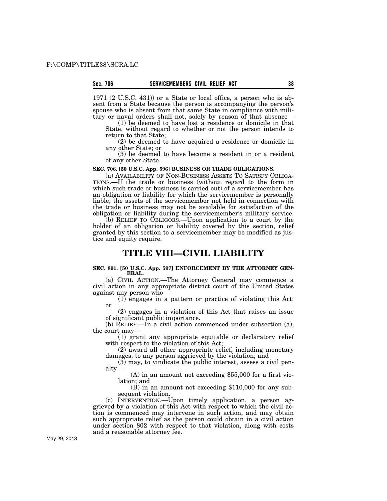1971 (2 U.S.C. 431)) or a State or local office, a person who is absent from a State because the person is accompanying the person's spouse who is absent from that same State in compliance with military or naval orders shall not, solely by reason of that absence—

(1) be deemed to have lost a residence or domicile in that State, without regard to whether or not the person intends to return to that State;

(2) be deemed to have acquired a residence or domicile in any other State; or

(3) be deemed to have become a resident in or a resident of any other State.

#### **SEC. 706. [50 U.S.C. App. 596] BUSINESS OR TRADE OBLIGATIONS.**

(a) AVAILABILITY OF NON-BUSINESS ASSETS TO SATISFY OBLIGA- TIONS.—If the trade or business (without regard to the form in which such trade or business is carried out) of a servicemember has an obligation or liability for which the servicemember is personally liable, the assets of the servicemember not held in connection with the trade or business may not be available for satisfaction of the obligation or liability during the servicemember's military service.

(b) RELIEF TO OBLIGORS.—Upon application to a court by the holder of an obligation or liability covered by this section, relief granted by this section to a servicemember may be modified as justice and equity require.

# **TITLE VIII—CIVIL LIABILITY**

#### **SEC. 801. [50 U.S.C. App. 597] ENFORCEMENT BY THE ATTORNEY GEN-ERAL.**

(a) CIVIL ACTION.—The Attorney General may commence a civil action in any appropriate district court of the United States against any person who—

(1) engages in a pattern or practice of violating this Act; or

(2) engages in a violation of this Act that raises an issue of significant public importance.

(b) RELIEF.—In a civil action commenced under subsection  $(a)$ , the court may—

(1) grant any appropriate equitable or declaratory relief with respect to the violation of this Act;

(2) award all other appropriate relief, including monetary damages, to any person aggrieved by the violation; and

(3) may, to vindicate the public interest, assess a civil penalty—

(A) in an amount not exceeding \$55,000 for a first violation; and

(B) in an amount not exceeding \$110,000 for any subsequent violation.

(c) INTERVENTION.—Upon timely application, a person aggrieved by a violation of this Act with respect to which the civil action is commenced may intervene in such action, and may obtain such appropriate relief as the person could obtain in a civil action under section 802 with respect to that violation, along with costs and a reasonable attorney fee.